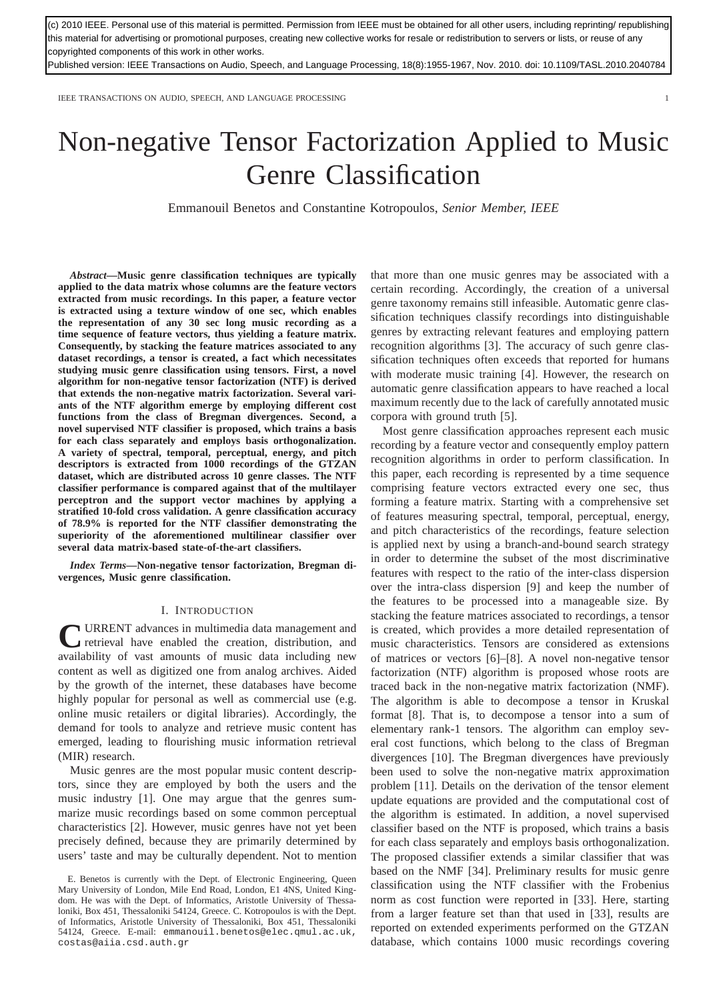(c) 2010 IEEE. Personal use of this material is permitted. Permission from IEEE must be obtained for all other users, including reprinting/ republishing this material for advertising or promotional purposes, creating new collective works for resale or redistribution to servers or lists, or reuse of any copyrighted components of this work in other works.

Published version: IEEE Transactions on Audio, Speech, and Language Processing, 18(8):1955-1967, Nov. 2010. doi: 10.1109/TASL.2010.2040784

IEEE TRANSACTIONS ON AUDIO, SPEECH, AND LANGUAGE PROCESSING 1

# Non-negative Tensor Factorization Applied to Music Genre Classification

Emmanouil Benetos and Constantine Kotropoulos, *Senior Member, IEEE*

*Abstract***—Music genre classification techniques are typically applied to the data matrix whose columns are the feature vectors extracted from music recordings. In this paper, a feature vector is extracted using a texture window of one sec, which enables the representation of any 30 sec long music recording as a time sequence of feature vectors, thus yielding a feature matrix. Consequently, by stacking the feature matrices associated to any dataset recordings, a tensor is created, a fact which necessitates studying music genre classification using tensors. First, a novel algorithm for non-negative tensor factorization (NTF) is derived that extends the non-negative matrix factorization. Several variants of the NTF algorithm emerge by employing different cost functions from the class of Bregman divergences. Second, a novel supervised NTF classifier is proposed, which trains a basis for each class separately and employs basis orthogonalization. A variety of spectral, temporal, perceptual, energy, and pitch descriptors is extracted from 1000 recordings of the GTZAN dataset, which are distributed across 10 genre classes. The NTF classifier performance is compared against that of the multilayer perceptron and the support vector machines by applying a stratified 10-fold cross validation. A genre classification accuracy of 78.9% is reported for the NTF classifier demonstrating the superiority of the aforementioned multilinear classifier over several data matrix-based state-of-the-art classifiers.**

*Index Terms***—Non-negative tensor factorization, Bregman divergences, Music genre classification.**

## I. INTRODUCTION

URRENT advances in multimedia data management and<br>
terrieval have enabled the creation, distribution, and retrieval have enabled the creation, distribution, and availability of vast amounts of music data including new content as well as digitized one from analog archives. Aided by the growth of the internet, these databases have become highly popular for personal as well as commercial use (e.g. online music retailers or digital libraries). Accordingly, the demand for tools to analyze and retrieve music content has emerged, leading to flourishing music information retrieval (MIR) research.

Music genres are the most popular music content descriptors, since they are employed by both the users and the music industry [1]. One may argue that the genres summarize music recordings based on some common perceptual characteristics [2]. However, music genres have not yet been precisely defined, because they are primarily determined by users' taste and may be culturally dependent. Not to mention that more than one music genres may be associated with a certain recording. Accordingly, the creation of a universal genre taxonomy remains still infeasible. Automatic genre classification techniques classify recordings into distinguishable genres by extracting relevant features and employing pattern recognition algorithms [3]. The accuracy of such genre classification techniques often exceeds that reported for humans with moderate music training [4]. However, the research on automatic genre classification appears to have reached a local maximum recently due to the lack of carefully annotated music corpora with ground truth [5].

Most genre classification approaches represent each music recording by a feature vector and consequently employ pattern recognition algorithms in order to perform classification. In this paper, each recording is represented by a time sequence comprising feature vectors extracted every one sec, thus forming a feature matrix. Starting with a comprehensive set of features measuring spectral, temporal, perceptual, energy, and pitch characteristics of the recordings, feature selection is applied next by using a branch-and-bound search strategy in order to determine the subset of the most discriminative features with respect to the ratio of the inter-class dispersion over the intra-class dispersion [9] and keep the number of the features to be processed into a manageable size. By stacking the feature matrices associated to recordings, a tensor is created, which provides a more detailed representation of music characteristics. Tensors are considered as extensions of matrices or vectors [6]–[8]. A novel non-negative tensor factorization (NTF) algorithm is proposed whose roots are traced back in the non-negative matrix factorization (NMF). The algorithm is able to decompose a tensor in Kruskal format [8]. That is, to decompose a tensor into a sum of elementary rank-1 tensors. The algorithm can employ several cost functions, which belong to the class of Bregman divergences [10]. The Bregman divergences have previously been used to solve the non-negative matrix approximation problem [11]. Details on the derivation of the tensor element update equations are provided and the computational cost of the algorithm is estimated. In addition, a novel supervised classifier based on the NTF is proposed, which trains a basis for each class separately and employs basis orthogonalization. The proposed classifier extends a similar classifier that was based on the NMF [34]. Preliminary results for music genre classification using the NTF classifier with the Frobenius norm as cost function were reported in [33]. Here, starting from a larger feature set than that used in [33], results are reported on extended experiments performed on the GTZAN database, which contains 1000 music recordings covering

E. Benetos is currently with the Dept. of Electronic Engineering, Queen Mary University of London, Mile End Road, London, E1 4NS, United Kingdom. He was with the Dept. of Informatics, Aristotle University of Thessaloniki, Box 451, Thessaloniki 54124, Greece. C. Kotropoulos is with the Dept. of Informatics, Aristotle University of Thessaloniki, Box 451, Thessaloniki 54124, Greece. E-mail: emmanouil.benetos@elec.qmul.ac.uk, costas@aiia.csd.auth.gr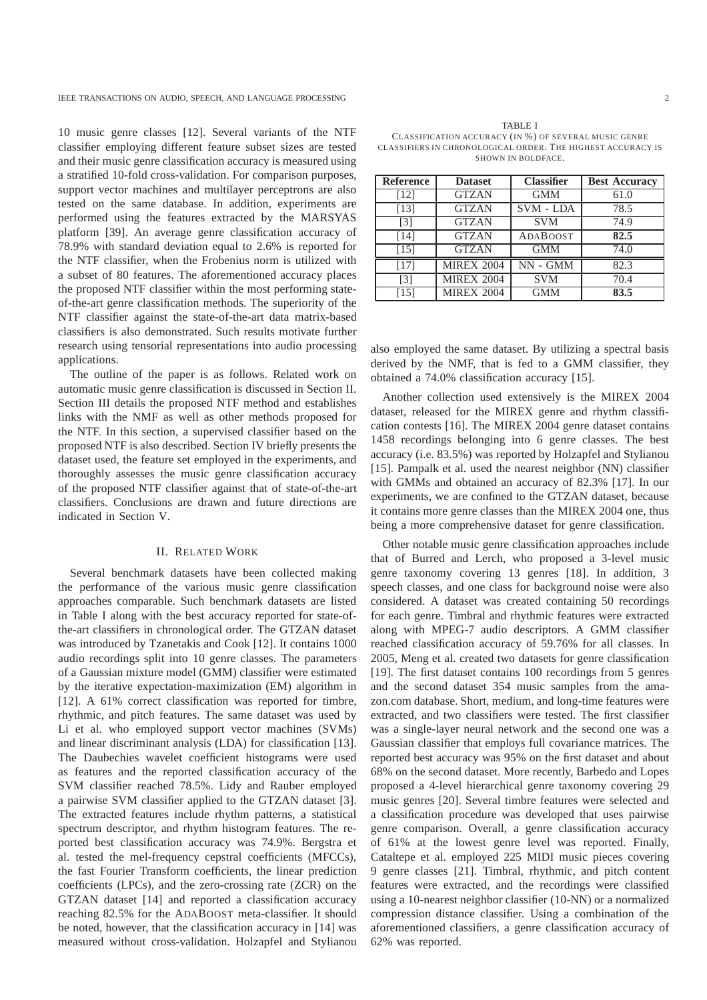10 music genre classes [12]. Several variants of the NTF classifier employing different feature subset sizes are tested and their music genre classification accuracy is measured using a stratified 10-fold cross-validation. For comparison purposes, support vector machines and multilayer perceptrons are also tested on the same database. In addition, experiments are performed using the features extracted by the MARSYAS platform [39]. An average genre classification accuracy of 78.9% with standard deviation equal to 2.6% is reported for the NTF classifier, when the Frobenius norm is utilized with a subset of 80 features. The aforementioned accuracy places the proposed NTF classifier within the most performing stateof-the-art genre classification methods. The superiority of the NTF classifier against the state-of-the-art data matrix-based classifiers is also demonstrated. Such results motivate further research using tensorial representations into audio processing applications.

The outline of the paper is as follows. Related work on automatic music genre classification is discussed in Section II. Section III details the proposed NTF method and establishes links with the NMF as well as other methods proposed for the NTF. In this section, a supervised classifier based on the proposed NTF is also described. Section IV briefly presents the dataset used, the feature set employed in the experiments, and thoroughly assesses the music genre classification accuracy of the proposed NTF classifier against that of state-of-the-art classifiers. Conclusions are drawn and future directions are indicated in Section V.

## II. RELATED WORK

Several benchmark datasets have been collected making the performance of the various music genre classification approaches comparable. Such benchmark datasets are listed in Table I along with the best accuracy reported for state-ofthe-art classifiers in chronological order. The GTZAN dataset was introduced by Tzanetakis and Cook [12]. It contains 1000 audio recordings split into 10 genre classes. The parameters of a Gaussian mixture model (GMM) classifier were estimated by the iterative expectation-maximization (EM) algorithm in [12]. A 61% correct classification was reported for timbre, rhythmic, and pitch features. The same dataset was used by Li et al. who employed support vector machines (SVMs) and linear discriminant analysis (LDA) for classification [13]. The Daubechies wavelet coefficient histograms were used as features and the reported classification accuracy of the SVM classifier reached 78.5%. Lidy and Rauber employed a pairwise SVM classifier applied to the GTZAN dataset [3]. The extracted features include rhythm patterns, a statistical spectrum descriptor, and rhythm histogram features. The reported best classification accuracy was 74.9%. Bergstra et al. tested the mel-frequency cepstral coefficients (MFCCs), the fast Fourier Transform coefficients, the linear prediction coefficients (LPCs), and the zero-crossing rate (ZCR) on the GTZAN dataset [14] and reported a classification accuracy reaching 82.5% for the ADABOOST meta-classifier. It should be noted, however, that the classification accuracy in [14] was measured without cross-validation. Holzapfel and Stylianou

TABLE I CLASSIFICATION ACCURACY (IN %) OF SEVERAL MUSIC GENRE CLASSIFIERS IN CHRONOLOGICAL ORDER. THE HIGHEST ACCURACY IS SHOWN IN BOLDFACE.

| Reference         | <b>Dataset</b>    | <b>Classifier</b> | <b>Best Accuracy</b> |
|-------------------|-------------------|-------------------|----------------------|
| [12]              | <b>GTZAN</b>      | <b>GMM</b>        | 61.0                 |
| [13]              | <b>GTZAN</b>      | <b>SVM - LDA</b>  | 78.5                 |
| $\lceil 3 \rceil$ | <b>GTZAN</b>      | <b>SVM</b>        | 74.9                 |
| [14]              | <b>GTZAN</b>      | <b>ADABOOST</b>   | 82.5                 |
| [15]              | <b>GTZAN</b>      | <b>GMM</b>        | 74.0                 |
| [17]              | <b>MIREX 2004</b> | $NN - GMM$        | 82.3                 |
| $\lceil 3 \rceil$ | <b>MIREX 2004</b> | <b>SVM</b>        | 70.4                 |
| [15]              | <b>MIREX 2004</b> | <b>GMM</b>        | 83.5                 |

also employed the same dataset. By utilizing a spectral basis derived by the NMF, that is fed to a GMM classifier, they obtained a 74.0% classification accuracy [15].

Another collection used extensively is the MIREX 2004 dataset, released for the MIREX genre and rhythm classification contests [16]. The MIREX 2004 genre dataset contains 1458 recordings belonging into 6 genre classes. The best accuracy (i.e. 83.5%) was reported by Holzapfel and Stylianou [15]. Pampalk et al. used the nearest neighbor (NN) classifier with GMMs and obtained an accuracy of 82.3% [17]. In our experiments, we are confined to the GTZAN dataset, because it contains more genre classes than the MIREX 2004 one, thus being a more comprehensive dataset for genre classification.

Other notable music genre classification approaches include that of Burred and Lerch, who proposed a 3-level music genre taxonomy covering 13 genres [18]. In addition, 3 speech classes, and one class for background noise were also considered. A dataset was created containing 50 recordings for each genre. Timbral and rhythmic features were extracted along with MPEG-7 audio descriptors. A GMM classifier reached classification accuracy of 59.76% for all classes. In 2005, Meng et al. created two datasets for genre classification [19]. The first dataset contains 100 recordings from 5 genres and the second dataset 354 music samples from the amazon.com database. Short, medium, and long-time features were extracted, and two classifiers were tested. The first classifier was a single-layer neural network and the second one was a Gaussian classifier that employs full covariance matrices. The reported best accuracy was 95% on the first dataset and about 68% on the second dataset. More recently, Barbedo and Lopes proposed a 4-level hierarchical genre taxonomy covering 29 music genres [20]. Several timbre features were selected and a classification procedure was developed that uses pairwise genre comparison. Overall, a genre classification accuracy of 61% at the lowest genre level was reported. Finally, Cataltepe et al. employed 225 MIDI music pieces covering 9 genre classes [21]. Timbral, rhythmic, and pitch content features were extracted, and the recordings were classified using a 10-nearest neighbor classifier (10-NN) or a normalized compression distance classifier. Using a combination of the aforementioned classifiers, a genre classification accuracy of 62% was reported.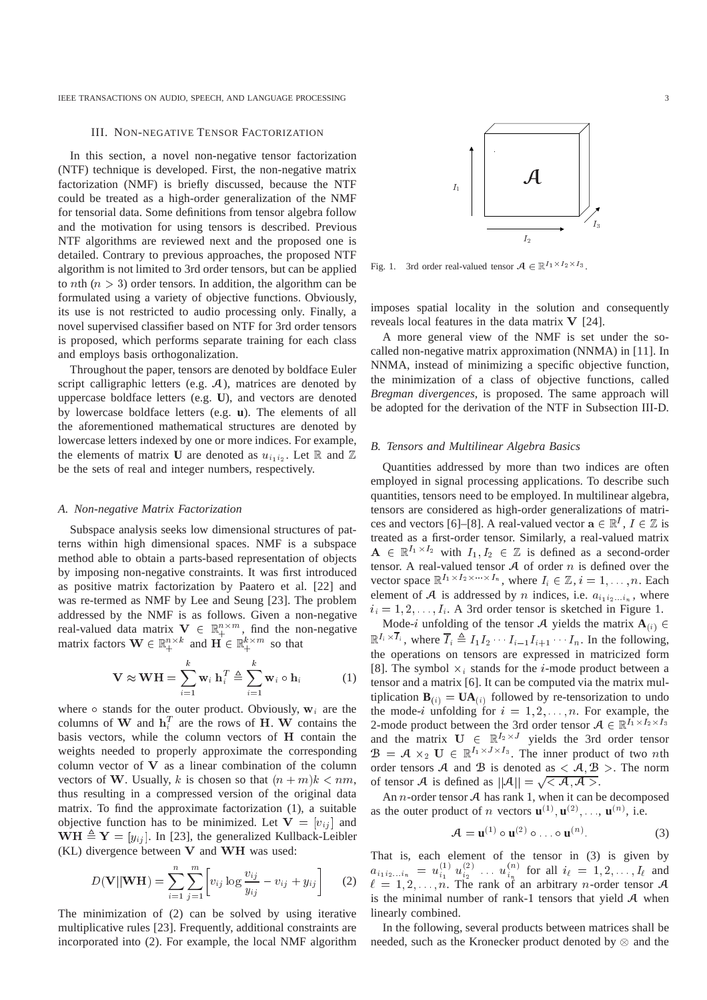#### III. NON-NEGATIVE TENSOR FACTORIZATION

In this section, a novel non-negative tensor factorization (NTF) technique is developed. First, the non-negative matrix factorization (NMF) is briefly discussed, because the NTF could be treated as a high-order generalization of the NMF for tensorial data. Some definitions from tensor algebra follow and the motivation for using tensors is described. Previous NTF algorithms are reviewed next and the proposed one is detailed. Contrary to previous approaches, the proposed NTF algorithm is not limited to 3rd order tensors, but can be applied to *n*th ( $n > 3$ ) order tensors. In addition, the algorithm can be formulated using a variety of objective functions. Obviously, its use is not restricted to audio processing only. Finally, a novel supervised classifier based on NTF for 3rd order tensors is proposed, which performs separate training for each class and employs basis orthogonalization.

Throughout the paper, tensors are denoted by boldface Euler script calligraphic letters (e.g. A), matrices are denoted by uppercase boldface letters (e.g. **U**), and vectors are denoted by lowercase boldface letters (e.g. **u**). The elements of all the aforementioned mathematical structures are denoted by lowercase letters indexed by one or more indices. For example, the elements of matrix **U** are denoted as  $u_{i_1 i_2}$ . Let R and Z be the sets of real and integer numbers, respectively.

### *A. Non-negative Matrix Factorization*

Subspace analysis seeks low dimensional structures of patterns within high dimensional spaces. NMF is a subspace method able to obtain a parts-based representation of objects by imposing non-negative constraints. It was first introduced as positive matrix factorization by Paatero et al. [22] and was re-termed as NMF by Lee and Seung [23]. The problem addressed by the NMF is as follows. Given a non-negative real-valued data matrix  $\mathbf{V} \in \mathbb{R}_+^{n \times m}$ , find the non-negative matrix factors  $\mathbf{W} \in \mathbb{R}_{+}^{n \times k}$  and  $\mathbf{H} \in \mathbb{R}_{+}^{k \times m}$  so that

$$
\mathbf{V} \approx \mathbf{W} \mathbf{H} = \sum_{i=1}^{k} \mathbf{w}_i \, \mathbf{h}_i^T \triangleq \sum_{i=1}^{k} \mathbf{w}_i \circ \mathbf{h}_i \tag{1}
$$

where  $\circ$  stands for the outer product. Obviously,  $w_i$  are the columns of W and  $\mathbf{h}_i^T$  are the rows of H. W contains the basis vectors, while the column vectors of <sup>H</sup> contain the weights needed to properly approximate the corresponding column vector of <sup>V</sup> as a linear combination of the column vectors of W. Usually, k is chosen so that  $(n + m)k < nm$ , thus resulting in a compressed version of the original data matrix. To find the approximate factorization (1), a suitable objective function has to be minimized. Let  $V = [v_{ij}]$  and  $WH \triangleq Y = [y_{ij}]$ . In [23], the generalized Kullback-Leibler (KL) divergence between <sup>V</sup> and WH was used:

$$
D(\mathbf{V}||\mathbf{W}\mathbf{H}) = \sum_{i=1}^{n} \sum_{j=1}^{m} \left[ v_{ij} \log \frac{v_{ij}}{y_{ij}} - v_{ij} + y_{ij} \right]
$$
 (2)

The minimization of (2) can be solved by using iterative multiplicative rules [23]. Frequently, additional constraints are incorporated into (2). For example, the local NMF algorithm



Fig. 1. 3rd order real-valued tensor  $A \in \mathbb{R}^{I_1 \times I_2 \times I_3}$ .

imposes spatial locality in the solution and consequently reveals local features in the data matrix <sup>V</sup> [24].

A more general view of the NMF is set under the socalled non-negative matrix approximation (NNMA) in [11]. In NNMA, instead of minimizing a specific objective function, the minimization of a class of objective functions, called *Bregman divergences*, is proposed. The same approach will be adopted for the derivation of the NTF in Subsection III-D.

## *B. Tensors and Multilinear Algebra Basics*

Quantities addressed by more than two indices are often employed in signal processing applications. To describe such quantities, tensors need to be employed. In multilinear algebra, tensors are considered as high-order generalizations of matrices and vectors [6]–[8]. A real-valued vector  $\mathbf{a} \in \mathbb{R}^l$ ,  $I \in \mathbb{Z}$  is treated as a first-order tensor. Similarly, a real-valued matrix  $A \in \mathbb{R}^{I_1 \times I_2}$  with  $I_1, I_2 \in \mathbb{Z}$  is defined as a second-order tensor. A real-valued tensor  $A$  of order n is defined over the vector space  $\mathbb{R}^{I_1 \times I_2 \times \cdots \times I_n}$ , where  $I_i \in \mathbb{Z}$ ,  $i = 1, \ldots, n$ . Each element of A is addressed by n indices, i.e.  $a_{i_1 i_2 \ldots i_n}$ , where  $i_i = 1, 2, \ldots, I_i$ . A 3rd order tensor is sketched in Figure 1.

Mode-i unfolding of the tensor A yields the matrix  $\mathbf{A}_{(i)} \in$  $\mathbb{R}^{I_i \times I_i}$ , where  $I_i \triangleq I_1 I_2 \cdots I_{i-1} I_{i+1} \cdots I_n$ . In the following, the operations on tensors are expressed in matricized form [8]. The symbol  $\times_i$  stands for the *i*-mode product between a tensor and a matrix [6]. It can be computed via the matrix multiplication  $\mathbf{B}_{(i)} = \mathbf{U} \mathbf{A}_{(i)}$  followed by re-tensorization to undo the mode-i unfolding for  $i = 1, 2, \ldots, n$ . For example, the 2-mode product between the 3rd order tensor  $A \in \mathbb{R}^{I_1 \times I_2 \times I_3}$ and the matrix  $U \in \mathbb{R}^{I_2 \times J}$  yields the 3rd order tensor  $\mathcal{B} = \mathcal{A} \times_2 \mathbf{U} \in \mathbb{R}^{I_1 \times J \times I_3}$ . The inner product of two nth order tensors A and B is denoted as  $\langle A, B \rangle$ . The norm of tensor A is defined as  $||A|| = \sqrt{\langle A, A \rangle}$ .

An *n*-order tensor  $\mathcal A$  has rank 1, when it can be decomposed as the outer product of *n* vectors  $\mathbf{u}^{(1)}, \mathbf{u}^{(2)}, \dots, \mathbf{u}^{(n)}$ , i.e.

$$
\mathcal{A} = \mathbf{u}^{(1)} \circ \mathbf{u}^{(2)} \circ \qquad \circ \mathbf{u}^{(n)}.\tag{3}
$$

That is, each element of the tensor in (3) is given by  $a_{i_1 i_2...i_n} = u_{i_1}^{(1)} u_{i_2}^{(2)} \ldots u_{i_n}^{(n)}$  for all  $i_\ell = 1, 2, \ldots, I_\ell$  and  $\ell = 1, 2, \ldots, n$ . The rank of an arbitrary *n*-order tensor A is the minimal number of rank-1 tensors that yield  $A$  when linearly combined.

In the following, several products between matrices shall be needed, such as the Kronecker product denoted by  $\otimes$  and the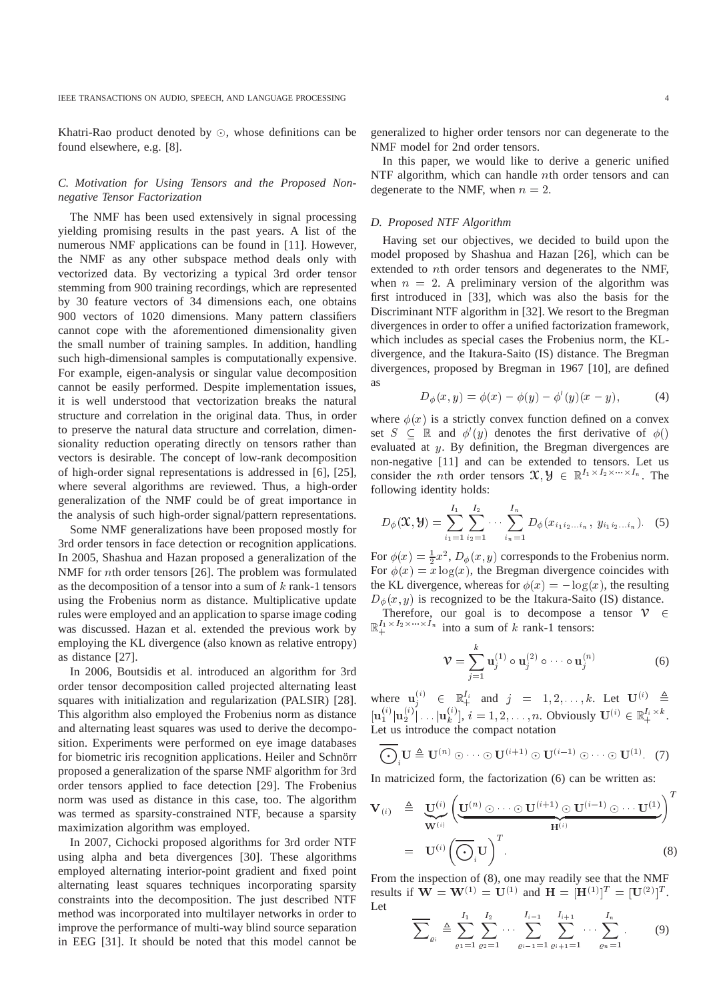Khatri-Rao product denoted by  $\odot$ , whose definitions can be found elsewhere, e.g. [8].

# *C. Motivation for Using Tensors and the Proposed Nonnegative Tensor Factorization*

The NMF has been used extensively in signal processing yielding promising results in the past years. A list of the numerous NMF applications can be found in [11]. However, the NMF as any other subspace method deals only with vectorized data. By vectorizing a typical 3rd order tensor stemming from 900 training recordings, which are represented by 30 feature vectors of 34 dimensions each, one obtains 900 vectors of 1020 dimensions. Many pattern classifiers cannot cope with the aforementioned dimensionality given the small number of training samples. In addition, handling such high-dimensional samples is computationally expensive. For example, eigen-analysis or singular value decomposition cannot be easily performed. Despite implementation issues, it is well understood that vectorization breaks the natural structure and correlation in the original data. Thus, in order to preserve the natural data structure and correlation, dimensionality reduction operating directly on tensors rather than vectors is desirable. The concept of low-rank decomposition of high-order signal representations is addressed in [6], [25], where several algorithms are reviewed. Thus, a high-order generalization of the NMF could be of great importance in the analysis of such high-order signal/pattern representations.

Some NMF generalizations have been proposed mostly for 3rd order tensors in face detection or recognition applications. In 2005, Shashua and Hazan proposed a generalization of the NMF for <sup>n</sup>th order tensors [26]. The problem was formulated as the decomposition of a tensor into a sum of  $k$  rank-1 tensors using the Frobenius norm as distance. Multiplicative update rules were employed and an application to sparse image coding was discussed. Hazan et al. extended the previous work by employing the KL divergence (also known as relative entropy) as distance [27].

In 2006, Boutsidis et al. introduced an algorithm for 3rd order tensor decomposition called projected alternating least squares with initialization and regularization (PALSIR) [28]. This algorithm also employed the Frobenius norm as distance and alternating least squares was used to derive the decomposition. Experiments were performed on eye image databases for biometric iris recognition applications. Heiler and Schnörr proposed a generalization of the sparse NMF algorithm for 3rd order tensors applied to face detection [29]. The Frobenius norm was used as distance in this case, too. The algorithm was termed as sparsity-constrained NTF, because a sparsity maximization algorithm was employed.

In 2007, Cichocki proposed algorithms for 3rd order NTF using alpha and beta divergences [30]. These algorithms employed alternating interior-point gradient and fixed point alternating least squares techniques incorporating sparsity constraints into the decomposition. The just described NTF method was incorporated into multilayer networks in order to improve the performance of multi-way blind source separation in EEG [31]. It should be noted that this model cannot be

generalized to higher order tensors nor can degenerate to the NMF model for 2nd order tensors.

In this paper, we would like to derive a generic unified NTF algorithm, which can handle <sup>n</sup>th order tensors and can degenerate to the NMF, when  $n = 2$ .

## *D. Proposed NTF Algorithm*

Having set our objectives, we decided to build upon the model proposed by Shashua and Hazan [26], which can be extended to <sup>n</sup>th order tensors and degenerates to the NMF, when  $n = 2$ . A preliminary version of the algorithm was first introduced in [33], which was also the basis for the Discriminant NTF algorithm in [32]. We resort to the Bregman divergences in order to offer a unified factorization framework, which includes as special cases the Frobenius norm, the KLdivergence, and the Itakura-Saito (IS) distance. The Bregman divergences, proposed by Bregman in 1967 [10], are defined as

$$
D_{\phi}(x, y) = \phi(x) - \phi(y) - \phi'(y)(x - y), \tag{4}
$$

where  $\phi(x)$  is a strictly convex function defined on a convex set  $S \subseteq \mathbb{R}$  and  $\phi'(y)$  denotes the first derivative of  $\phi()$ evaluated at <sup>y</sup>. By definition, the Bregman divergences are non-negative [11] and can be extended to tensors. Let us consider the *n*th order tensors  $\mathfrak{X}, \mathcal{Y} \in \mathbb{R}^{I_1 \times I_2 \times \cdots \times I_n}$ . The following identity holds:

$$
D_{\phi}(\mathbf{x}, \mathbf{y}) = \sum_{i_1=1}^{I_1} \sum_{i_2=1}^{I_2} \cdots \sum_{i_n=1}^{I_n} D_{\phi}(x_{i_1 i_2 \ldots i_n}, y_{i_1 i_2 \ldots i_n}). \quad (5)
$$

For  $\phi(x) = \frac{1}{2}x^2$ ,  $D_{\phi}(x, y)$  corresponds to the Frobenius norm. For  $\phi(x) = x \log(x)$ , the Bregman divergence coincides with the KL divergence, whereas for  $\phi(x) = -\log(x)$ , the resulting  $D_{\phi}(x, y)$  is recognized to be the Itakura-Saito (IS) distance.

Therefore, our goal is to decompose a tensor  $V \in$  $\mathbb{R}^{I_1 \times I_2 \times \cdots \times I_n}$  into a sum of k rank-1 tensors:

$$
\mathcal{V} = \sum_{j=1}^{k} \mathbf{u}_{j}^{(1)} \circ \mathbf{u}_{j}^{(2)} \circ \cdots \circ \mathbf{u}_{j}^{(n)}
$$
(6)

where  $\mathbf{u}_i^{(i)} \in \mathbb{R}_+^{I_i}$  and  $j = 1, 2, \ldots, k$ . Let  $\mathbf{U}^{(i)} \triangleq$  $[\mathbf{u}_{1}^{(i)} | \mathbf{u}_{2}^{(i)} | \dots | \mathbf{u}_{k}^{(i)}], i = 1, 2, \dots, n$ . Obviously  $\mathbf{U}^{(i)} \in \mathbb{R}_{+}^{I_{i} \times k}$ . Let us introduce the compact notation

$$
\overline{\bigodot}_{i} \mathbf{U} \triangleq \mathbf{U}^{(n)} \odot \cdots \odot \mathbf{U}^{(i+1)} \odot \mathbf{U}^{(i-1)} \odot \cdots \odot \mathbf{U}^{(1)}.
$$
 (7)

In matricized form, the factorization (6) can be written as:

$$
\mathbf{V}_{(i)} \triangleq \underbrace{\mathbf{U}^{(i)}}_{\mathbf{W}^{(i)}} \left( \underbrace{\mathbf{U}^{(n)} \odot \cdots \odot \mathbf{U}^{(i+1)} \odot \mathbf{U}^{(i-1)} \odot \cdots \mathbf{U}^{(1)}}_{\mathbf{H}^{(i)}} \right)^{T}
$$
\n
$$
= \mathbf{U}^{(i)} \left( \overline{\bigodot}_{i} \mathbf{U} \right)^{T}.
$$
\n(8)

From the inspection of (8), one may readily see that the NMF results if  $W = W^{(1)} = U^{(1)}$  and  $H = [H^{(1)}]^T = [U^{(2)}]^T$ . Let

$$
\overline{\sum}_{\varrho_{i}} \triangleq \sum_{\varrho_{1}=1}^{I_{1}} \sum_{\varrho_{2}=1}^{I_{2}} \cdots \sum_{\varrho_{i-1}=1}^{I_{i-1}} \sum_{\varrho_{i+1}=1}^{I_{i+1}} \cdots \sum_{\varrho_{n}=1}^{I_{n}}.
$$
 (9)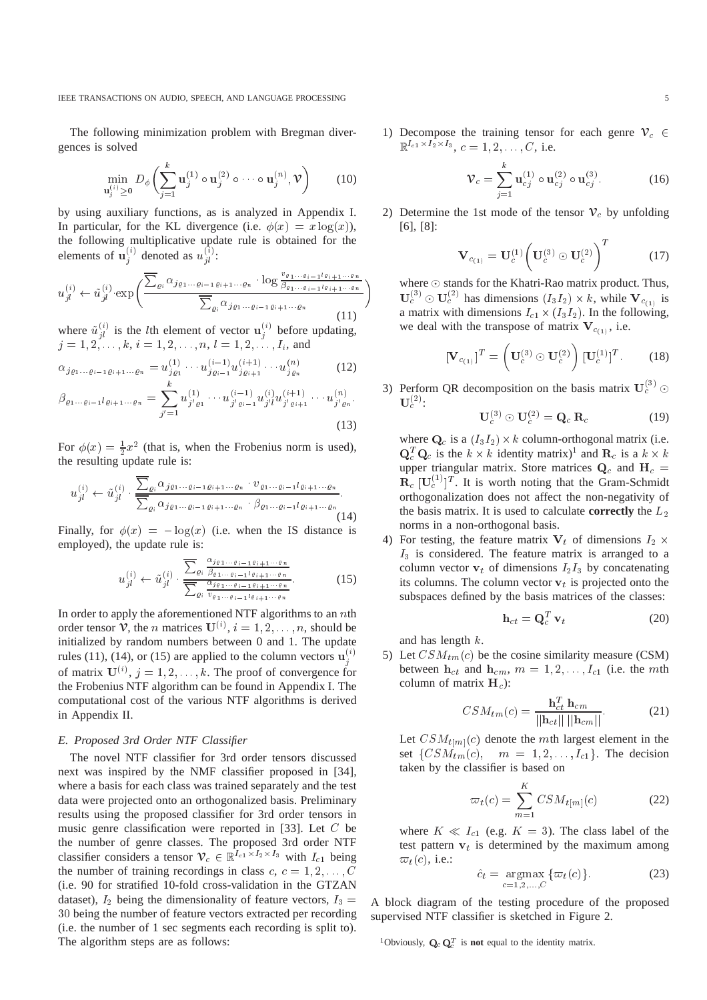The following minimization problem with Bregman divergences is solved

$$
\min_{\mathbf{u}_{j}^{(i)} \geq 0} D_{\phi} \left( \sum_{j=1}^{k} \mathbf{u}_{j}^{(1)} \circ \mathbf{u}_{j}^{(2)} \circ \cdots \circ \mathbf{u}_{j}^{(n)}, \mathcal{V} \right) \tag{10}
$$

by using auxiliary functions, as is analyzed in Appendix I. In particular, for the KL divergence (i.e.  $\phi(x) = x \log(x)$ ), the following multiplicative update rule is obtained for the elements of  $\mathbf{u}_i^{(i)}$  denoted as  $u_{il}^{(i)}$ :

$$
u_{jl}^{(i)} \leftarrow \tilde{u}_{jl}^{(i)} \cdot \exp\left(\frac{\sum_{\varrho_i} \alpha_{j\varrho_1 \dots \varrho_{i-1} \varrho_{i+1} \dots \varrho_n} \cdot \log \frac{v_{\varrho_1 \dots \varrho_{i-1} \varrho_{i+1} \dots \varrho_n}}{\beta_{\varrho_1 \dots \varrho_{i-1} \varrho_{i+1} \dots \varrho_n}}\right)
$$
\n
$$
(11)
$$

where  $\tilde{u}_{il}^{(i)}$  is the lth element of vector  $\mathbf{u}_{i}^{(i)}$  before updating,  $j = 1, 2, \ldots, k, i = 1, 2, \ldots, n, l = 1, 2, \ldots, I_i$ , and

$$
\alpha_{j\varrho_1\dots\varrho_{i-1}\varrho_{i+1}\dots\varrho_n} = u_{j\varrho_1}^{(1)} \dots u_{j\varrho_{i-1}}^{(i-1)} u_{j\varrho_{i+1}}^{(i+1)} \dots u_{j\varrho_n}^{(n)} \tag{12}
$$

$$
\beta_{\varrho_1 \dots \varrho_{i-1} l \varrho_{i+1} \dots \varrho_n} = \sum_{j'=1}^n u_{j'\varrho_1}^{(1)} \dots u_{j'\varrho_{i-1}}^{(i-1)} u_{j'l}^{(i)} u_{j'\varrho_{i+1}}^{(i+1)} \dots u_{j'\varrho_n}^{(n)}.
$$

(13)

For  $\phi(x) = \frac{1}{2}x^2$  (that is, when the Frobenius norm is used), the resulting update rule is:

$$
u_{jl}^{(i)} \leftarrow \tilde{u}_{jl}^{(i)} \cdot \frac{\sum_{\varrho_i} \alpha_{j\varrho_1 \cdots \varrho_{i-1}\varrho_{i+1} \cdots \varrho_n} \cdot v_{\varrho_1 \cdots \varrho_{i-1} l\varrho_{i+1} \cdots \varrho_n}}{\sum_{\varrho_i} \alpha_{j\varrho_1 \cdots \varrho_{i-1} \varrho_{i+1} \cdots \varrho_n} \cdot \beta_{\varrho_1 \cdots \varrho_{i-1} l\varrho_{i+1} \cdots \varrho_n}}.
$$
\n(14)

Finally, for  $\phi(x) = -\log(x)$  (i.e. when the IS distance is employed), the update rule is:

$$
u_{jl}^{(i)} \leftarrow \tilde{u}_{jl}^{(i)} \cdot \frac{\sum_{\varrho_i} \frac{\alpha_{j\varrho_1 \cdots \varrho_{i-1} \varrho_{i+1} \cdots \varrho_n}}{\sum_{\varrho_i} \frac{\alpha_{j\varrho_1 \cdots \varrho_{i-1} \varrho_{i+1} \cdots \varrho_n}}{\sum_{\varrho_i} \frac{\alpha_{j\varrho_1 \cdots \varrho_{i-1} \varrho_{i+1} \cdots \varrho_n}{\cdots \varrho_{i-1} \cdots \varrho_{i+1} \cdots \varrho_n}}.
$$
 (15)

In order to apply the aforementioned NTF algorithms to an  $n$ th order tensor V, the *n* matrices  $U^{(i)}$ ,  $i = 1, 2, ..., n$ , should be initialized by random numbers between 0 and 1. The update rules (11), (14), or (15) are applied to the column vectors  $\mathbf{u}_i^{(i)}$ of matrix  $\mathbf{U}^{(i)}$ ,  $j = 1, 2, \dots, k$ . The proof of convergence for the Frobenius NTF algorithm can be found in Appendix I. The computational cost of the various NTF algorithms is derived in Appendix II.

## *E. Proposed 3rd Order NTF Classifier*

The novel NTF classifier for 3rd order tensors discussed next was inspired by the NMF classifier proposed in [34], where a basis for each class was trained separately and the test data were projected onto an orthogonalized basis. Preliminary results using the proposed classifier for 3rd order tensors in music genre classification were reported in [33]. Let <sup>C</sup> be the number of genre classes. The proposed 3rd order NTF classifier considers a tensor  $\mathcal{V}_c \in \mathbb{R}^{I_{c1} \times I_2 \times I_3}$  with  $I_{c1}$  being the number of training recordings in class  $c, c = 1, 2, \ldots, C$ (i.e. 90 for stratified 10-fold cross-validation in the GTZAN dataset),  $I_2$  being the dimensionality of feature vectors,  $I_3$  = 30 being the number of feature vectors extracted per recording (i.e. the number of 1 sec segments each recording is split to). The algorithm steps are as follows:

1) Decompose the training tensor for each genre  $V_c \in$  $\mathbb{R}^{I_{c1} \times I_2 \times I_3}, c = 1, 2, \ldots, C$ , i.e.

$$
\mathcal{V}_c = \sum_{j=1}^k \mathbf{u}_{cj}^{(1)} \circ \mathbf{u}_{cj}^{(2)} \circ \mathbf{u}_{cj}^{(3)}.
$$
 (16)

2) Determine the 1st mode of the tensor  $\mathcal{V}_c$  by unfolding [6], [8]:

$$
\mathbf{V}_{c_{(1)}} = \mathbf{U}_c^{(1)} \left( \mathbf{U}_c^{(3)} \odot \mathbf{U}_c^{(2)} \right)^T \tag{17}
$$

where  $\odot$  stands for the Khatri-Rao matrix product. Thus,  $\mathbf{U}_c^{(3)} \odot \mathbf{U}_c^{(2)}$  has dimensions  $(I_3I_2) \times k$ , while  $\mathbf{V}_{c_{(1)}}$  is a matrix with dimensions  $I_{c1} \times (I_3I_2)$ . In the following, we deal with the transpose of matrix  $V_{c_{(1)}}$ , i.e.

$$
[\mathbf{V}_{c_{(1)}}]^T = \left(\mathbf{U}_c^{(3)} \odot \mathbf{U}_c^{(2)}\right) [\mathbf{U}_c^{(1)}]^T. \quad (18)
$$

3) Perform QR decomposition on the basis matrix  $U_c^{(3)}$   $\odot$  $\mathbf{U}_c^{(\mathcal{Z})}$  :

$$
\mathbf{U}_c^{(3)} \odot \mathbf{U}_c^{(2)} = \mathbf{Q}_c \, \mathbf{R}_c \tag{19}
$$

where  $\mathbf{Q}_c$  is a  $(I_3I_2)\times k$  column-orthogonal matrix (i.e.  ${\bf Q}_c^T{\bf Q}_c$  is the  $k \times k$  identity matrix)<sup>1</sup> and  ${\bf R}_c$  is a  $k \times k$ upper triangular matrix. Store matrices  $Q_c$  and  $H_c =$  $\mathbf{R}_c$  [U $_c^{(1)}$ ]<sup>T</sup>. It is worth noting that the Gram-Schmidt orthogonalization does not affect the non-negativity of the basis matrix. It is used to calculate **correctly** the  $L_2$ norms in a non-orthogonal basis.

4) For testing, the feature matrix  $V_t$  of dimensions  $I_2 \times$  $I_3$  is considered. The feature matrix is arranged to a column vector  $v_t$  of dimensions  $I_2I_3$  by concatenating its columns. The column vector  $v_t$  is projected onto the subspaces defined by the basis matrices of the classes:

$$
\mathbf{h}_{ct} = \mathbf{Q}_c^T \mathbf{v}_t \tag{20}
$$

and has length <sup>k</sup>.

5) Let  $CSM_{tm}(c)$  be the cosine similarity measure (CSM) between  $h_{ct}$  and  $h_{cm}$ ,  $m = 1, 2, \ldots, I_{c1}$  (i.e. the mth column of matrix  $H_c$ ):

$$
CSM_{tm}(c) = \frac{\mathbf{h}_{ct}^T \mathbf{h}_{cm}}{||\mathbf{h}_{ct}|| \, ||\mathbf{h}_{cm}||}.
$$
 (21)

Let  $CSM_{t[m]}(c)$  denote the mth largest element in the set  $\{CSM_{tm}(c), m = 1, 2, \ldots, I_{c1}\}.$  The decision taken by the classifier is based on

$$
\varpi_t(c) = \sum_{m=1}^{K} CSM_{t[m]}(c) \tag{22}
$$

where  $K \ll I_{c1}$  (e.g.  $K = 3$ ). The class label of the test pattern  $v_t$  is determined by the maximum among  $\varpi_t(c)$ , i.e.:

$$
\hat{c}_t = \underset{c=1,2,\ldots,C}{\operatorname{argmax}} \{ \varpi_t(c) \}. \tag{23}
$$

A block diagram of the testing procedure of the proposed supervised NTF classifier is sketched in Figure 2.

<sup>1</sup>Obviously,  $\mathbf{Q}_c \mathbf{Q}_c^T$  is **not** equal to the identity matrix.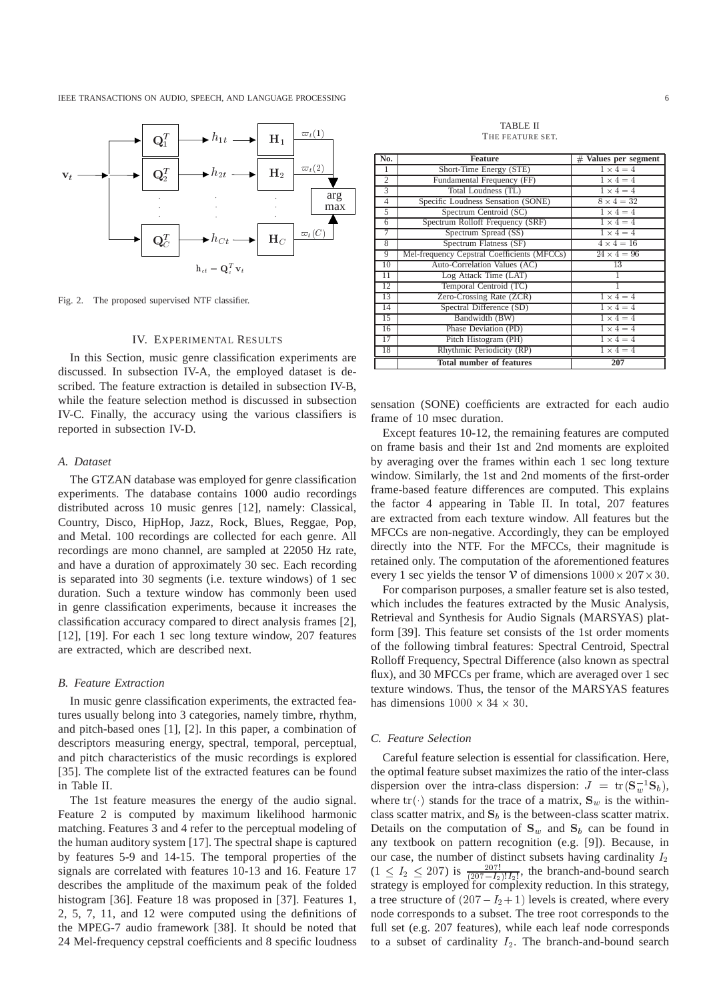

Fig. 2. The proposed supervised NTF classifier.

## IV. EXPERIMENTAL RESULTS

In this Section, music genre classification experiments are discussed. In subsection IV-A, the employed dataset is described. The feature extraction is detailed in subsection IV-B, while the feature selection method is discussed in subsection IV-C. Finally, the accuracy using the various classifiers is reported in subsection IV-D.

## *A. Dataset*

The GTZAN database was employed for genre classification experiments. The database contains 1000 audio recordings distributed across 10 music genres [12], namely: Classical, Country, Disco, HipHop, Jazz, Rock, Blues, Reggae, Pop, and Metal. 100 recordings are collected for each genre. All recordings are mono channel, are sampled at 22050 Hz rate, and have a duration of approximately 30 sec. Each recording is separated into 30 segments (i.e. texture windows) of 1 sec duration. Such a texture window has commonly been used in genre classification experiments, because it increases the classification accuracy compared to direct analysis frames [2], [12], [19]. For each 1 sec long texture window, 207 features are extracted, which are described next.

## *B. Feature Extraction*

In music genre classification experiments, the extracted features usually belong into 3 categories, namely timbre, rhythm, and pitch-based ones [1], [2]. In this paper, a combination of descriptors measuring energy, spectral, temporal, perceptual, and pitch characteristics of the music recordings is explored [35]. The complete list of the extracted features can be found in Table II.

The 1st feature measures the energy of the audio signal. Feature 2 is computed by maximum likelihood harmonic matching. Features 3 and 4 refer to the perceptual modeling of the human auditory system [17]. The spectral shape is captured by features 5-9 and 14-15. The temporal properties of the signals are correlated with features 10-13 and 16. Feature 17 describes the amplitude of the maximum peak of the folded histogram [36]. Feature 18 was proposed in [37]. Features 1, 2, 5, 7, 11, and 12 were computed using the definitions of the MPEG-7 audio framework [38]. It should be noted that 24 Mel-frequency cepstral coefficients and 8 specific loudness

TABLE II THE FEATURE SET.

| No.            | <b>Feature</b>                              | Values per segment<br># |
|----------------|---------------------------------------------|-------------------------|
| 1              | Short-Time Energy (STE)                     | $1 \times 4 = 4$        |
| $\overline{2}$ | Fundamental Frequency (FF)                  | $1 \times 4 = 4$        |
| 3              | Total Loudness (TL)                         | $1 \times 4 = 4$        |
| $\overline{4}$ | Specific Loudness Sensation (SONE)          | $8 \times 4 = 32$       |
| 5              | Spectrum Centroid (SC)                      | $1 \times 4 = 4$        |
| 6              | Spectrum Rolloff Frequency (SRF)            | $1 \times 4 = 4$        |
| 7              | Spectrum Spread (SS)                        | $1 \times 4 = 4$        |
| 8              | Spectrum Flatness (SF)                      | $4 \times 4 = 16$       |
| 9              | Mel-frequency Cepstral Coefficients (MFCCs) | $24 \times 4 = 96$      |
| 10             | Auto-Correlation Values (AC)                | 13                      |
| 11             | Log Attack Time (LAT)                       |                         |
| 12             | Temporal Centroid (TC)                      | 1                       |
| 13             | Zero-Crossing Rate (ZCR)                    | $1 \times 4 = 4$        |
| 14             | Spectral Difference (SD)                    | $1 \times 4 = 4$        |
| 15             | Bandwidth (BW)                              | $1 \times 4 = 4$        |
| 16             | Phase Deviation (PD)                        | $1 \times 4 = 4$        |
| 17             | Pitch Histogram (PH)                        | $1 \times 4 = 4$        |
| 18             | Rhythmic Periodicity (RP)                   | $1 \times 4 = 4$        |
|                | <b>Total number of features</b>             | 207                     |

sensation (SONE) coefficients are extracted for each audio frame of 10 msec duration.

Except features 10-12, the remaining features are computed on frame basis and their 1st and 2nd moments are exploited by averaging over the frames within each 1 sec long texture window. Similarly, the 1st and 2nd moments of the first-order frame-based feature differences are computed. This explains the factor 4 appearing in Table II. In total, 207 features are extracted from each texture window. All features but the MFCCs are non-negative. Accordingly, they can be employed directly into the NTF. For the MFCCs, their magnitude is retained only. The computation of the aforementioned features every 1 sec yields the tensor  $V$  of dimensions  $1000 \times 207 \times 30$ .

For comparison purposes, a smaller feature set is also tested, which includes the features extracted by the Music Analysis, Retrieval and Synthesis for Audio Signals (MARSYAS) platform [39]. This feature set consists of the 1st order moments of the following timbral features: Spectral Centroid, Spectral Rolloff Frequency, Spectral Difference (also known as spectral flux), and 30 MFCCs per frame, which are averaged over 1 sec texture windows. Thus, the tensor of the MARSYAS features has dimensions  $1000 \times 34 \times 30$ .

## *C. Feature Selection*

Careful feature selection is essential for classification. Here, the optimal feature subset maximizes the ratio of the inter-class dispersion over the intra-class dispersion:  $J = \text{tr}(\mathbf{S}_w^{-1} \mathbf{S}_b)$ , where tr( ) stands for the trace of a matrix,  $S_w$  is the withinclass scatter matrix, and  $S_b$  is the between-class scatter matrix. Details on the computation of  $S_w$  and  $S_b$  can be found in any textbook on pattern recognition (e.g. [9]). Because, in our case, the number of distinct subsets having cardinality  $I_2$  $(1 \le I_2 \le 207)$  is  $\frac{207!}{(207-I_2)!I_2!}$ , the branch-and-bound search strategy is employed for complexity reduction. In this strategy, a tree structure of  $(207 - I_2 + 1)$  levels is created, where every node corresponds to a subset. The tree root corresponds to the full set (e.g. 207 features), while each leaf node corresponds to a subset of cardinality  $I_2$ . The branch-and-bound search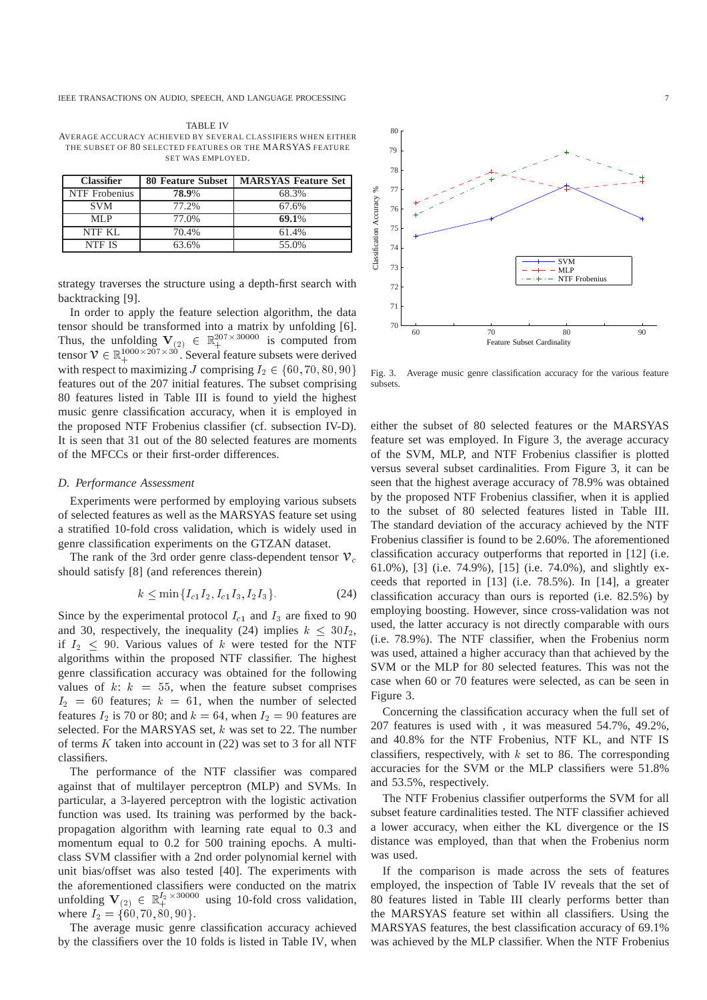TABLE IV AVERAGE ACCURACY ACHIEVED BY SEVERAL CLASSIFIERS WHEN EITHER THE SUBSET OF 80 SELECTED FEATURES OR THE MARSYAS FEATURE SET WAS EMPLOYED.

| <b>Classifier</b> | <b>80 Feature Subset</b> | <b>MARSYAS Feature Set</b> |
|-------------------|--------------------------|----------------------------|
| NTF Frobenius     | 78.9%                    | 68.3%                      |
| <b>SVM</b>        | 77.2%                    | 67.6%                      |
| MLP               | 77.0%                    | 69.1%                      |
| NTF KL            | 70.4%                    | 61.4%                      |
| NTF IS            | 63.6%                    | 55.0%                      |

strategy traverses the structure using a depth-first search with backtracking [9].

In order to apply the feature selection algorithm, the data tensor should be transformed into a matrix by unfolding [6]. Thus, the unfolding  $V_{(2)} \in \mathbb{R}_+^{207 \times 30000}$  is computed from tensor  $V \in \mathbb{R}_+^{1000\times 207\times 30}$ . Several feature subsets were derived with respect to maximizing J comprising  $I_2 \in \{60, 70, 80, 90\}$ features out of the 207 initial features. The subset comprising 80 features listed in Table III is found to yield the highest music genre classification accuracy, when it is employed in the proposed NTF Frobenius classifier (cf. subsection IV-D). It is seen that 31 out of the 80 selected features are moments of the MFCCs or their first-order differences.

#### *D. Performance Assessment*

Experiments were performed by employing various subsets of selected features as well as the MARSYAS feature set using a stratified 10-fold cross validation, which is widely used in genre classification experiments on the GTZAN dataset.

The rank of the 3rd order genre class-dependent tensor  $\mathcal{V}_c$ should satisfy [8] (and references therein)

$$
k \le \min\{I_{c1}I_2, I_{c1}I_3, I_2I_3\}.\tag{24}
$$

Since by the experimental protocol  $I_{c1}$  and  $I_3$  are fixed to 90 and 30, respectively, the inequality (24) implies  $k < 30I_2$ , if  $I_2 \leq 90$ . Various values of k were tested for the NTF algorithms within the proposed NTF classifier. The highest genre classification accuracy was obtained for the following values of  $k: k = 55$ , when the feature subset comprises  $I_2 = 60$  features;  $k = 61$ , when the number of selected features  $I_2$  is 70 or 80; and  $k = 64$ , when  $I_2 = 90$  features are selected. For the MARSYAS set,  $k$  was set to 22. The number of terms  $K$  taken into account in  $(22)$  was set to 3 for all NTF classifiers.

The performance of the NTF classifier was compared against that of multilayer perceptron (MLP) and SVMs. In particular, a 3-layered perceptron with the logistic activation function was used. Its training was performed by the backpropagation algorithm with learning rate equal to 0.3 and momentum equal to 0.2 for 500 training epochs. A multiclass SVM classifier with a 2nd order polynomial kernel with unit bias/offset was also tested [40]. The experiments with the aforementioned classifiers were conducted on the matrix unfolding  $V_{(2)} \in \mathbb{R}^{I_2 \times 30000}_{+}$  using 10-fold cross validation, where  $I_2 = \{60, 70, 80, 90\}.$ 

The average music genre classification accuracy achieved by the classifiers over the 10 folds is listed in Table IV, when



Fig. 3. Average music genre classification accuracy for the various feature subsets.

either the subset of 80 selected features or the MARSYAS feature set was employed. In Figure 3, the average accuracy of the SVM, MLP, and NTF Frobenius classifier is plotted versus several subset cardinalities. From Figure 3, it can be seen that the highest average accuracy of 78.9% was obtained by the proposed NTF Frobenius classifier, when it is applied to the subset of 80 selected features listed in Table III. The standard deviation of the accuracy achieved by the NTF Frobenius classifier is found to be 2.60%. The aforementioned classification accuracy outperforms that reported in [12] (i.e. 61.0%), [3] (i.e. 74.9%), [15] (i.e. 74.0%), and slightly exceeds that reported in [13] (i.e. 78.5%). In [14], a greater classification accuracy than ours is reported (i.e. 82.5%) by employing boosting. However, since cross-validation was not used, the latter accuracy is not directly comparable with ours (i.e. 78.9%). The NTF classifier, when the Frobenius norm was used, attained a higher accuracy than that achieved by the SVM or the MLP for 80 selected features. This was not the case when 60 or 70 features were selected, as can be seen in Figure 3.

Concerning the classification accuracy when the full set of 207 features is used with , it was measured 54.7%, 49.2%, and 40.8% for the NTF Frobenius, NTF KL, and NTF IS classifiers, respectively, with  $k$  set to 86. The corresponding accuracies for the SVM or the MLP classifiers were 51.8% and 53.5%, respectively.

The NTF Frobenius classifier outperforms the SVM for all subset feature cardinalities tested. The NTF classifier achieved a lower accuracy, when either the KL divergence or the IS distance was employed, than that when the Frobenius norm was used.

If the comparison is made across the sets of features employed, the inspection of Table IV reveals that the set of 80 features listed in Table III clearly performs better than the MARSYAS feature set within all classifiers. Using the MARSYAS features, the best classification accuracy of 69.1% was achieved by the MLP classifier. When the NTF Frobenius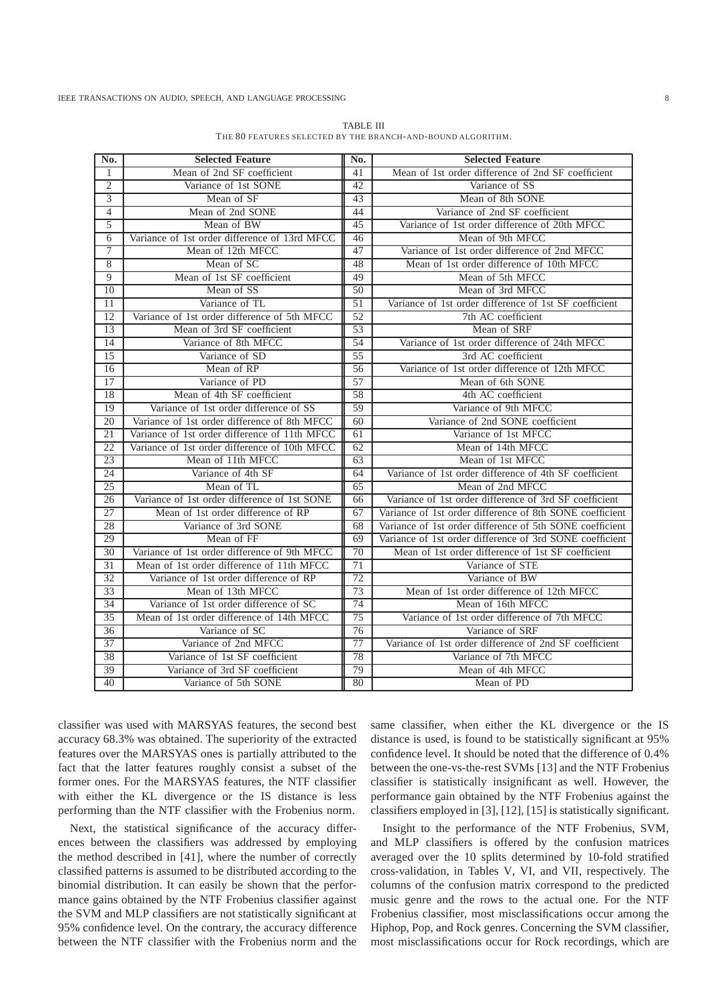| No.             | <b>Selected Feature</b>                       | No.             | <b>Selected Feature</b>                                  |
|-----------------|-----------------------------------------------|-----------------|----------------------------------------------------------|
| 1               | Mean of 2nd SF coefficient                    | 41              | Mean of 1st order difference of 2nd SF coefficient       |
| $\overline{2}$  | Variance of 1st SONE                          | 42              | Variance of SS                                           |
| $\overline{3}$  | Mean of SF                                    | 43              | Mean of 8th SONE                                         |
| $\overline{4}$  | Mean of 2nd SONE                              | 44              | Variance of 2nd SF coefficient                           |
| 5               | Mean of BW                                    | 45              | Variance of 1st order difference of 20th MFCC            |
| 6               | Variance of 1st order difference of 13rd MFCC | 46              | Mean of 9th MFCC                                         |
| $\overline{7}$  | Mean of 12th MFCC                             | 47              | Variance of 1st order difference of 2nd MFCC             |
| $\overline{8}$  | Mean of SC                                    | 48              | Mean of 1st order difference of 10th MFCC                |
| 9               | Mean of 1st SF coefficient                    | 49              | Mean of 5th MFCC                                         |
| 10              | Mean of SS                                    | $\overline{50}$ | Mean of 3rd MFCC                                         |
| 11              | Variance of TL                                | 51              | Variance of 1st order difference of 1st SF coefficient   |
| 12              | Variance of 1st order difference of 5th MFCC  | 52              | 7th AC coefficient                                       |
| $\overline{13}$ | Mean of 3rd SF coefficient                    | $\overline{53}$ | Mean of SRF                                              |
| 14              | Variance of 8th MFCC                          | 54              | Variance of 1st order difference of 24th MFCC            |
| 15              | Variance of SD                                | $\overline{55}$ | 3rd AC coefficient                                       |
| 16              | Mean of RP                                    | 56              | Variance of 1st order difference of 12th MFCC            |
| 17              | Variance of PD                                | 57              | Mean of 6th SONE                                         |
| 18              | Mean of 4th SF coefficient                    | 58              | 4th AC coefficient                                       |
| 19              | Variance of 1st order difference of SS        | 59              | Variance of 9th MFCC                                     |
| 20              | Variance of 1st order difference of 8th MFCC  | 60              | Variance of 2nd SONE coefficient                         |
| 21              | Variance of 1st order difference of 11th MFCC | 61              | Variance of 1st MFCC                                     |
| $\overline{22}$ | Variance of 1st order difference of 10th MFCC | 62              | Mean of 14th MFCC                                        |
| $\overline{23}$ | Mean of 11th MFCC                             | $\overline{63}$ | Mean of 1st MFCC                                         |
| 24              | Variance of 4th SF                            | 64              | Variance of 1st order difference of 4th SF coefficient   |
| $\overline{25}$ | Mean of TL                                    | 65              | Mean of 2nd MFCC                                         |
| 26              | Variance of 1st order difference of 1st SONE  | 66              | Variance of 1st order difference of 3rd SF coefficient   |
| $\overline{27}$ | Mean of 1st order difference of RP            | 67              | Variance of 1st order difference of 8th SONE coefficient |
| 28              | Variance of 3rd SONE                          | 68              | Variance of 1st order difference of 5th SONE coefficient |
| 29              | Mean of FF                                    | 69              | Variance of 1st order difference of 3rd SONE coefficient |
| 30              | Variance of 1st order difference of 9th MFCC  | 70              | Mean of 1st order difference of 1st SF coefficient       |
| $\overline{31}$ | Mean of 1st order difference of 11th MFCC     | 71              | Variance of STE                                          |
| 32              | Variance of 1st order difference of RP        | 72              | Variance of BW                                           |
| 33              | Mean of 13th MFCC                             | $\overline{73}$ | Mean of 1st order difference of 12th MFCC                |
| 34              | Variance of 1st order difference of SC        | $\overline{74}$ | Mean of 16th MFCC                                        |
| 35              | Mean of 1st order difference of 14th MFCC     | 75              | Variance of 1st order difference of 7th MFCC             |
| 36              | Variance of SC                                | $\overline{76}$ | Variance of SRF                                          |
| 37              | Variance of 2nd MFCC                          | 77              | Variance of 1st order difference of 2nd SF coefficient   |
| 38              | Variance of 1st SF coefficient                | 78              | Variance of 7th MFCC                                     |
| 39              | Variance of 3rd SF coefficient                | 79              | Mean of 4th MFCC                                         |
| 40              | Variance of 5th SONE                          | 80              | Mean of PD                                               |

TABLE III THE 80 FEATURES SELECTED BY THE BRANCH-AND-BOUND ALGORITHM.

classifier was used with MARSYAS features, the second best accuracy 68.3% was obtained. The superiority of the extracted features over the MARSYAS ones is partially attributed to the fact that the latter features roughly consist a subset of the former ones. For the MARSYAS features, the NTF classifier with either the KL divergence or the IS distance is less performing than the NTF classifier with the Frobenius norm.

Next, the statistical significance of the accuracy differences between the classifiers was addressed by employing the method described in [41], where the number of correctly classified patterns is assumed to be distributed according to the binomial distribution. It can easily be shown that the performance gains obtained by the NTF Frobenius classifier against the SVM and MLP classifiers are not statistically significant at 95% confidence level. On the contrary, the accuracy difference between the NTF classifier with the Frobenius norm and the

same classifier, when either the KL divergence or the IS distance is used, is found to be statistically significant at 95% confidence level. It should be noted that the difference of 0.4% between the one-vs-the-rest SVMs [13] and the NTF Frobenius classifier is statistically insignificant as well. However, the performance gain obtained by the NTF Frobenius against the classifiers employed in [3], [12], [15] is statistically significant.

Insight to the performance of the NTF Frobenius, SVM, and MLP classifiers is offered by the confusion matrices averaged over the 10 splits determined by 10-fold stratified cross-validation, in Tables V, VI, and VII, respectively. The columns of the confusion matrix correspond to the predicted music genre and the rows to the actual one. For the NTF Frobenius classifier, most misclassifications occur among the Hiphop, Pop, and Rock genres. Concerning the SVM classifier, most misclassifications occur for Rock recordings, which are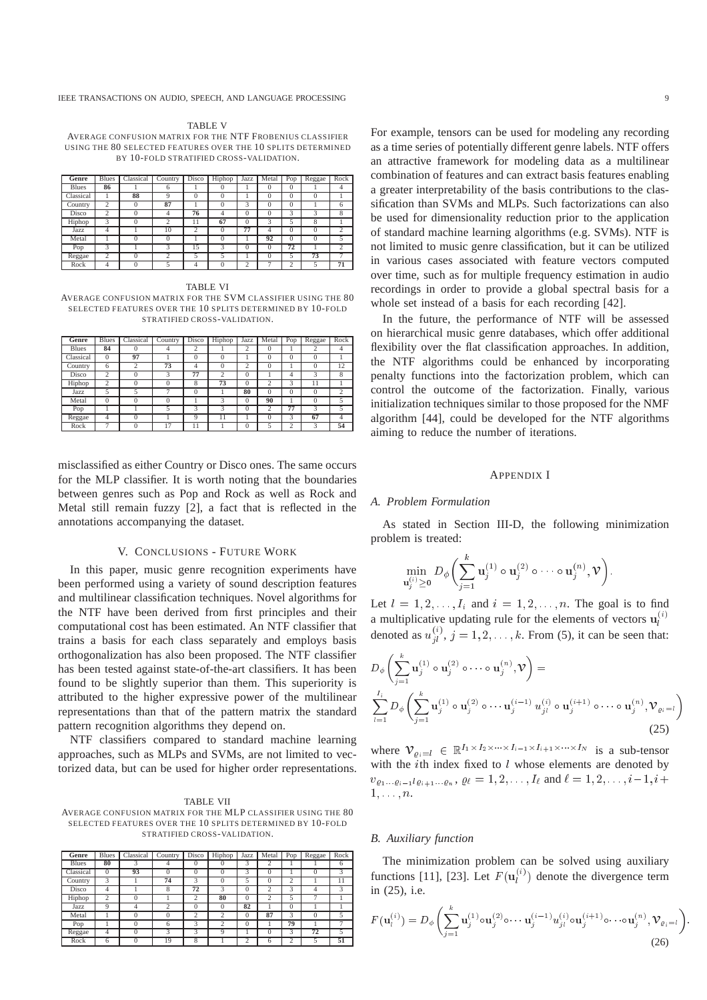TABLE V AVERAGE CONFUSION MATRIX FOR THE NTF FROBENIUS CLASSIFIER USING THE 80 SELECTED FEATURES OVER THE 10 SPLITS DETERMINED BY 10-FOLD STRATIFIED CROSS-VALIDATION.

| Genre        | <b>Blues</b>   | Classical | Country            | Disco          | Hiphop   | Jazz     | Metal        | Pop      | Reggae   | Rock           |
|--------------|----------------|-----------|--------------------|----------------|----------|----------|--------------|----------|----------|----------------|
| <b>Blues</b> | 86             |           | 6                  |                | $\Omega$ |          | $\theta$     | 0        |          | 4              |
| Classical    |                | 88        | 9                  | $\Omega$       | $\Omega$ |          | $\Omega$     | $\theta$ | $\theta$ |                |
| Country      | $\overline{c}$ | $\Omega$  | 87                 |                | $\Omega$ | 3        | $\Omega$     | $\Omega$ |          | 6              |
| Disco        | $\overline{c}$ | $^{()}$   |                    | 76             | 4        | $^{0}$   | $\mathbf{0}$ | 3        | 3        | 8              |
| Hiphop       | 3              | 0         | $\overline{c}$     | 11             | 67       | $\Omega$ | 3            | 5        | 8        |                |
| Jazz         | 4              |           | 10                 | $\overline{c}$ | $\Omega$ | 77       | 4            | $\Omega$ | $\theta$ | $\overline{2}$ |
| Metal        |                | 0         | $\theta$           |                | $\Omega$ |          | 92           | $\theta$ | $\Omega$ | 5              |
| Pop          | 3              |           | $\mathbf{\hat{z}}$ | 15             | 3        | $\theta$ | $\mathbf{0}$ | 72       |          |                |
| Reggae       | ↑              | 0         | ↑                  | 5              | 5        |          | $\Omega$     |          | 73       |                |
| Rock         | 4              | $\Omega$  | 5                  | 4              | $\Omega$ | C        | o            | ↑        | 5        | 71             |

TABLE VI

AVERAGE CONFUSION MATRIX FOR THE SVM CLASSIFIER USING THE 80 SELECTED FEATURES OVER THE 10 SPLITS DETERMINED BY 10-FOLD STRATIFIED CROSS-VALIDATION.

| Genre        | <b>Blues</b>   | Classical | Country  | Disco    | Hiphop         | Jazz     | Metal          | Pop      | Reggae           | Rock           |
|--------------|----------------|-----------|----------|----------|----------------|----------|----------------|----------|------------------|----------------|
| <b>Blues</b> | 84             | $^{()}$   | 4        | ∍<br>∠   |                | 2        | $\Omega$       |          | $\overline{c}$   | 4              |
| Classical    | $\Omega$       | 97        |          |          | $\theta$       |          | $\Omega$       | $\theta$ | $\Omega$         |                |
| Country      | 6              |           | 73       | 4        | $\theta$       | 2        | $\Omega$       |          | $\theta$         | 12             |
| Disco        | $\overline{c}$ | $^{()}$   | 3        | 77       | $\overline{c}$ | $\Omega$ |                | 4        | 3                | 8              |
| Hiphop       | 2              |           |          | 8        | 73             | $\Omega$ | $\overline{c}$ | 3        | 11               |                |
| Jazz         | 5              |           |          |          |                | 80       | $\Omega$       | $\theta$ | $\left( \right)$ | $\overline{c}$ |
| Metal        | $\Omega$       | $\Omega$  | $^{(1)}$ |          | 3              | $\Omega$ | 90             |          | $\Omega$         |                |
| Pop          |                |           | 5        | ٩        | 3              | $\Omega$ | $\overline{c}$ | 77       | 3                |                |
| Reggae       | 4              | $^{(1)}$  |          | $\Omega$ | 11             |          | $\Omega$       | 3        | 67               | 4              |
| Rock         |                |           | 17       |          |                | $\theta$ | $\tilde{z}$    |          | 3                | 54             |

misclassified as either Country or Disco ones. The same occurs for the MLP classifier. It is worth noting that the boundaries between genres such as Pop and Rock as well as Rock and Metal still remain fuzzy [2], a fact that is reflected in the annotations accompanying the dataset.

## V. CONCLUSIONS - FUTURE WORK

In this paper, music genre recognition experiments have been performed using a variety of sound description features and multilinear classification techniques. Novel algorithms for the NTF have been derived from first principles and their computational cost has been estimated. An NTF classifier that trains a basis for each class separately and employs basis orthogonalization has also been proposed. The NTF classifier has been tested against state-of-the-art classifiers. It has been found to be slightly superior than them. This superiority is attributed to the higher expressive power of the multilinear representations than that of the pattern matrix the standard pattern recognition algorithms they depend on.

NTF classifiers compared to standard machine learning approaches, such as MLPs and SVMs, are not limited to vectorized data, but can be used for higher order representations.

TABLE VII AVERAGE CONFUSION MATRIX FOR THE MLP CLASSIFIER USING THE 80 SELECTED FEATURES OVER THE 10 SPLITS DETERMINED BY 10-FOLD STRATIFIED CROSS-VALIDATION.

| Genre        | <b>Blues</b>   | Classical | Country      | Disco          | Hiphop         | Jazz     | Metal          | Pop      | Reggae          | Rock           |
|--------------|----------------|-----------|--------------|----------------|----------------|----------|----------------|----------|-----------------|----------------|
| <b>Blues</b> | 80             | 3         | 4            | $\Omega$       |                | 3        | 2              |          |                 | 6              |
| Classical    | $\Omega$       | 93        | $\Omega$     | $\cup$         | $\Omega$       | 3        |                |          | $\Omega$        | 3              |
| Country      | 3              |           | 74           | 3              | $^{(1)}$       |          | 0              |          |                 | 11             |
| Disco        | 4              |           | 8            | 72             | 3              | $\Omega$ | 2              | 3        | 4               | 3              |
| Hiphop       | $\overline{c}$ | 0         |              | $\overline{c}$ | 80             | $\Omega$ | $\overline{c}$ | 5        | π               |                |
| Jazz         | 9              | 4         | ↑            | $\Omega$       | $\Omega$       | 82       |                | $\Omega$ |                 |                |
| Metal        |                | $\Omega$  | $\theta$     | ◠              | $\overline{c}$ | $\Omega$ | 87             | 3        | $\Omega$        | 5              |
| Pop          |                | $\Omega$  | 6            | 3              | 2              | $\theta$ |                | 79       |                 | $\overline{a}$ |
| Reggae       | 4              | 0         | $\mathbf{3}$ |                | 9              |          | $^{()}$        | 3        | $7\overline{2}$ | 5              |
| Rock         | 6              |           | 19           | ົ              |                | n        | 6              |          | ς               | 51             |

For example, tensors can be used for modeling any recording as a time series of potentially different genre labels. NTF offers an attractive framework for modeling data as a multilinear combination of features and can extract basis features enabling a greater interpretability of the basis contributions to the classification than SVMs and MLPs. Such factorizations can also be used for dimensionality reduction prior to the application of standard machine learning algorithms (e.g. SVMs). NTF is not limited to music genre classification, but it can be utilized in various cases associated with feature vectors computed over time, such as for multiple frequency estimation in audio recordings in order to provide a global spectral basis for a whole set instead of a basis for each recording [42].

In the future, the performance of NTF will be assessed on hierarchical music genre databases, which offer additional flexibility over the flat classification approaches. In addition, the NTF algorithms could be enhanced by incorporating penalty functions into the factorization problem, which can control the outcome of the factorization. Finally, various initialization techniques similar to those proposed for the NMF algorithm [44], could be developed for the NTF algorithms aiming to reduce the number of iterations.

## APPENDIX I

## *A. Problem Formulation*

As stated in Section III-D, the following minimization problem is treated:

$$
\min_{\mathbf{u}_{j}^{(i)} \geq \mathbf{0}} D_{\phi} \biggl( \sum_{j=1}^{k} \mathbf{u}_{j}^{(1)} \circ \mathbf{u}_{j}^{(2)} \circ \cdots \circ \mathbf{u}_{j}^{(n)}, \mathcal{V} \biggr).
$$

Let  $l = 1, 2, \ldots, I_i$  and  $i = 1, 2, \ldots, n$ . The goal is to find a multiplicative updating rule for the elements of vectors  $\mathbf{u}_i^{(i)}$ denoted as  $u_{i_l}^{(i)}$ ,  $j = 1, 2, \ldots, k$ . From (5), it can be seen that:

$$
D_{\phi}\left(\sum_{j=1}^{k}\mathbf{u}_{j}^{(1)}\circ\mathbf{u}_{j}^{(2)}\circ\cdots\circ\mathbf{u}_{j}^{(n)},\mathcal{V}\right)=\n\sum_{l=1}^{I_{i}}D_{\phi}\left(\sum_{j=1}^{k}\mathbf{u}_{j}^{(1)}\circ\mathbf{u}_{j}^{(2)}\circ\cdots\mathbf{u}_{j}^{(i-1)}u_{jl}^{(i)}\circ\mathbf{u}_{j}^{(i+1)}\circ\cdots\circ\mathbf{u}_{j}^{(n)},\mathcal{V}_{\varrho_{i}=l}\right)
$$
\n(25)

where  $\mathcal{V}_{\rho_i=l} \in \mathbb{R}^{I_1 \times I_2 \times \cdots \times I_{i-1} \times I_{i+1} \times \cdots \times I_N}$  is a sub-tensor with the *i*th index fixed to  $l$  whose elements are denoted by  $v_{\varrho_1 \ldots \varrho_{i-1} l \varrho_{i+1} \ldots \varrho_n}$ ,  $\varrho_\ell = 1, 2, \ldots, I_\ell$  and  $\ell = 1, 2, \ldots, i-1, i+1$  $1, \ldots, n$ .

## *B. Auxiliary function*

 $\mathcal{L}$ 

The minimization problem can be solved using auxiliary functions [11], [23]. Let  $F(\mathbf{u}_l^{(i)})$  denote the divergence term in (25), i.e.

$$
F(\mathbf{u}_i^{(i)}) = D_{\phi}\left(\sum_{j=1}^{\kappa} \mathbf{u}_j^{(1)} \circ \mathbf{u}_j^{(2)} \circ \cdots \mathbf{u}_j^{(i-1)} u_{jl}^{(i)} \circ \mathbf{u}_j^{(i+1)} \circ \cdots \circ \mathbf{u}_j^{(n)}, \mathcal{V}_{\varrho_i=l}\right)
$$
(26)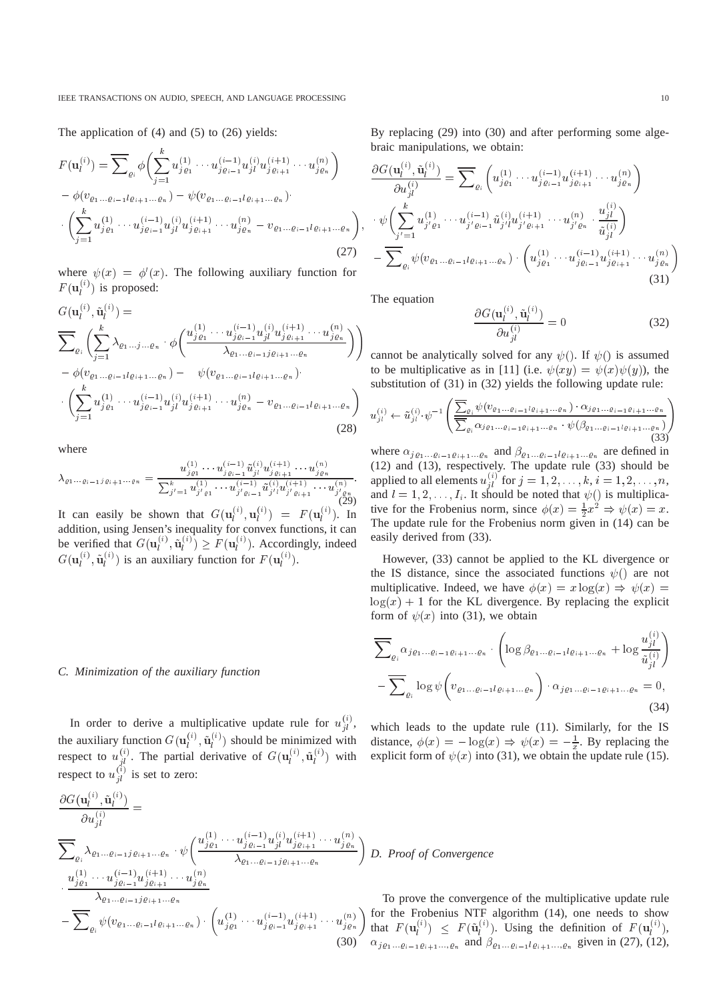The application of (4) and (5) to (26) yields:

$$
F(\mathbf{u}_{l}^{(i)}) = \overline{\sum}_{\varrho_{i}} \phi \left( \sum_{j=1}^{k} u_{j\varrho_{1}}^{(1)} \cdots u_{j\varrho_{i-1}}^{(i-1)} u_{jl}^{(i)} u_{j\varrho_{i+1}}^{(i+1)} \cdots u_{j\varrho_{n}}^{(n)} \right) - \phi(v_{\varrho_{1}... \varrho_{i-1} l\varrho_{i+1}... \varrho_{n}}) - \psi(v_{\varrho_{1}... \varrho_{i-1} l\varrho_{i+1}... \varrho_{n}}) \cdot \left( \sum_{j=1}^{k} u_{j\varrho_{1}}^{(1)} \cdots u_{j\varrho_{i-1}}^{(i-1)} u_{jl}^{(i)} u_{j\varrho_{i+1}}^{(i+1)} \cdots u_{j\varrho_{n}}^{(n)} - v_{\varrho_{1}... \varrho_{i-1} l\varrho_{i+1}... \varrho_{n}} \right)
$$
\n(27)

where  $\psi(x) = \phi'(x)$ . The following auxiliary function for  $F(\mathbf{u}_l^{(i)})$  is proposed:

$$
G(\mathbf{u}_{l}^{(i)}, \tilde{\mathbf{u}}_{l}^{(i)}) = \n\sum_{\varrho_{i}} \left( \sum_{j=1}^{k} \lambda_{\varrho_{1} \dots j \dots \varrho_{n}} \cdot \phi \left( \frac{u_{j\varrho_{1}}^{(1)} \dots u_{j\varrho_{i-1}}^{(i-1)} u_{jl}^{(i)} u_{j\varrho_{i+1}}^{(i+1)} \dots u_{j\varrho_{n}}^{(n)}}{\lambda_{\varrho_{1} \dots \varrho_{i-1} j \varrho_{i+1} \dots \varrho_{n}}} \right) \right) - \phi(v_{\varrho_{1} \dots \varrho_{i-1} l \varrho_{i+1} \dots \varrho_{n}}) - \psi(v_{\varrho_{1} \dots \varrho_{i-1} l \varrho_{i+1} \dots \varrho_{n}}) \cdot \left( \sum_{j=1}^{k} u_{j\varrho_{1}}^{(1)} \dots u_{j\varrho_{i-1}}^{(i-1)} u_{jl}^{(i)} u_{j\varrho_{i+1}}^{(i+1)} \dots u_{j\varrho_{n}}^{(n)} - v_{\varrho_{1} \dots \varrho_{i-1} l \varrho_{i+1} \dots \varrho_{n}} \right)
$$
\n(28)

where

$$
\lambda_{\varrho_1 \dots \varrho_{i-1} j \varrho_{i+1} \dots \varrho_n} = \frac{u_{j \varrho_1}^{(1)} \dots u_{j \varrho_{i-1}}^{(i-1)} \tilde{u}_{j l}^{(i)} u_{j \varrho_{i+1}}^{(i+1)} \dots u_{j \varrho_n}^{(n)}}{\sum_{j'=1}^k u_{j' \varrho_1}^{(1)} \dots u_{j' \varrho_{i-1}}^{(i-1)} \tilde{u}_{j' l}^{(i)} u_{j' \varrho_{i+1}}^{(i+1)} \dots u_{j' \varrho_n}^{(n)}}
$$

It can easily be shown that  $G(\mathbf{u}_l^{(i)}, \mathbf{u}_l^{(i)}) = F(\mathbf{u}_l^{(i)})$ . In addition, using Jensen's inequality for convex functions, it can be verified that  $G(\mathbf{u}_l^{(i)})$  $\hat{i}^{\prime\prime},\mathbf{u}^{\prime\prime\prime}_{l}$  $\binom{C}{l} \geq F(\mathbf{u}_l^{\infty})$  $\binom{1}{l}$ . Accordingly, indeed  $G(\mathbf{u}_l^{(i)}, \tilde{\mathbf{u}}_l^{(i)})$  is an auxiliary function for  $F(\mathbf{u}_l^{(i)})$ .

## *C. Minimization of the auxiliary function*

In order to derive a multiplicative update rule for  $u_{il}^{(i)}$ , the auxiliary function  $G(\mathbf{u}_l^{(i)}, \tilde{\mathbf{u}}_l^{(i)})$  should be minimized with respect to  $u_{il}^{(i)}$ . The partial derivative of  $G(u_l^{(i)})$  $\hat{i}^{\;\;\prime},\mathbf{u}_{\hat{l}}^{\;\;\prime}$  $\binom{u}{l}$  with respect to  $u_{il}^{(i)}$  is set to zero:

$$
\frac{\partial G(\mathbf{u}_{l}^{(i)}, \tilde{\mathbf{u}}_{l}^{(i)})}{\partial u_{jl}^{(i)}} = \frac{\sum_{\varrho_{i}} \lambda_{\varrho_{1} \dots \varrho_{i-1} j \varrho_{i+1} \dots \varrho_{n}} \cdot \psi\left(\frac{u_{j\varrho_{1}}^{(1)} \dots u_{j\varrho_{i-1}}^{(i-1)} u_{jl}^{(i)} u_{j\varrho_{i+1}}^{(i+1)} \dots u_{j\varrho_{n}}^{(n)}}{\lambda_{\varrho_{1} \dots \varrho_{i-1} j \varrho_{i+1}} \dots \varrho_{n}}\right) D.
$$
\n
$$
\frac{u_{j\varrho_{1}}^{(1)} \dots u_{j\varrho_{i-1}}^{(i-1)} u_{j\varrho_{i+1}}^{(i+1)} \dots u_{j\varrho_{n}}^{(n)}}{\lambda_{\varrho_{1} \dots \varrho_{i-1} j \varrho_{i+1} \dots \varrho_{n}}} \qquad \qquad \frac{\gamma_{\varrho_{1}}^{(1)} \dots \gamma_{\varrho_{i}}^{(n)}}{\lambda_{\varrho_{1}} \dots \varrho_{i-1} j \varrho_{i+1} \dots \varrho_{n}} \qquad \qquad \frac{\gamma_{\varrho_{1}}^{(1)} \dots \gamma_{\varrho_{i+1}}^{(i+1)} \dots u_{j\varrho_{n}}^{(n)}}{\gamma_{\varrho_{i}} \qquad \qquad \frac{\gamma_{\varrho_{1}}^{(1)} \dots \gamma_{\varrho_{i}}^{(i+1)} \dots \gamma_{j\varrho_{n}}^{(n)}}{\gamma_{j}} \qquad \qquad \frac{\gamma_{\varrho_{1}}^{(1)} \dots \gamma_{\varrho_{n}}^{(n)}}{\gamma_{j}} \qquad \qquad \frac{\gamma_{\varrho_{1}}^{(1)} \dots \gamma_{\varrho_{n}}^{(n)}}{\gamma_{\varrho_{n}}} \qquad \qquad \frac{\gamma_{\varrho_{1}}^{(1)} \dots \gamma_{\varrho_{n}}^{(n)}}{\gamma_{\varrho_{n}}} \qquad \qquad \frac{\gamma_{\varrho_{1}}^{(1)} \dots \gamma_{\varrho_{n}}^{(n)}}{\gamma_{\varrho_{n}}} \qquad \qquad \frac{\gamma_{\varrho_{1}}^{(1)} \dots \gamma_{\varrho_{n}}^{(n)}}{\gamma_{\varrho_{n}}} \qquad \qquad \frac{\gamma_{\varrho_{1}}^{(
$$

By replacing (29) into (30) and after performing some algebraic manipulations, we obtain:

$$
\frac{\partial G(\mathbf{u}_{l}^{(i)}, \tilde{\mathbf{u}}_{l}^{(i)})}{\partial u_{jl}^{(i)}} = \overline{\sum}_{\varrho_{i}} \left( u_{j\varrho_{1}}^{(1)} \cdots u_{j\varrho_{i-1}}^{(i-1)} u_{j\varrho_{i+1}}^{(i+1)} \cdots u_{j\varrho_{n}}^{(n)} \right) \n\cdot \psi \left( \sum_{j'=1}^{k} u_{j'\varrho_{1}}^{(1)} \cdots u_{j'\varrho_{i-1}}^{(i-1)} \tilde{u}_{j'l}^{(i)} u_{j'\varrho_{i+1}}^{(i+1)} \cdots u_{j'\varrho_{n}}^{(n)} \cdot \frac{u_{jl}^{(i)}}{\tilde{u}_{jl}^{(i)}} \right) \n- \overline{\sum}_{\varrho_{i}} \psi(v_{\varrho_{1}... \varrho_{i-1} l\varrho_{i+1}... \varrho_{n}}) \cdot \left( u_{j\varrho_{1}}^{(1)} \cdots u_{j\varrho_{i-1}}^{(i-1)} u_{j\varrho_{i+1}}^{(i+1)} \cdots u_{j\varrho_{n}}^{(n)} \right)
$$
\n(31)

The equation

,

:

$$
\frac{\partial G(\mathbf{u}_l^{(i)}, \tilde{\mathbf{u}}_l^{(i)})}{\partial u_{jl}^{(i)}} = 0
$$
\n(32)

cannot be analytically solved for any  $\psi$ . If  $\psi$  is assumed to be multiplicative as in [11] (i.e.  $\psi(xy) = \psi(x) \psi(y)$ ), the substitution of (31) in (32) yields the following update rule:

$$
u_{jl}^{(i)} \leftarrow \tilde{u}_{jl}^{(i)} \cdot \psi^{-1} \left( \frac{\sum_{\varrho_i} \psi(v_{\varrho_1 \dots \varrho_{i-1} l \varrho_{i+1} \dots \varrho_n}) \cdot \alpha_{j \varrho_1 \dots \varrho_{i-1} \varrho_{i+1} \dots \varrho_n}}{\sum_{\varrho_i} \alpha_{j \varrho_1 \dots \varrho_{i-1} \varrho_{i+1} \dots \varrho_n} \cdot \psi(\beta_{\varrho_1 \dots \varrho_{i-1} l \varrho_{i+1} \dots \varrho_n})} \right)
$$
(33)

where  $\alpha_{j_{\rho_1} \dots \rho_{i-1} \rho_{i+1} \dots \rho_n}$  and  $\beta_{\rho_1 \dots \rho_{i-1} \rho_{i+1} \dots \rho_n}$  are defined in (12) and (13), respectively. The update rule (33) should be applied to all elements  $u_{ji}^{(i)}$  for  $j = 1, 2, \ldots, k, i = 1, 2, \ldots, n$ , and  $l = 1, 2, \ldots, I_i$ . It should be noted that  $\psi()$  is multiplicative for the Frobenius norm, since  $\phi(x) = \frac{1}{2}x^2 \Rightarrow \psi(x) = x$ . The update rule for the Frobenius norm given in (14) can be easily derived from (33).

However, (33) cannot be applied to the KL divergence or the IS distance, since the associated functions  $\psi()$  are not multiplicative. Indeed, we have  $\phi(x) = x \log(x) \Rightarrow \psi(x) =$  $log(x) + 1$  for the KL divergence. By replacing the explicit form of  $\psi(x)$  into (31), we obtain

$$
\overline{\sum}_{\varrho_{i}} \alpha_{j\varrho_{1} \dots \varrho_{i-1} \varrho_{i+1} \dots \varrho_{n}} \cdot \left( \log \beta_{\varrho_{1} \dots \varrho_{i-1} l \varrho_{i+1} \dots \varrho_{n}} + \log \frac{u_{j\wr}^{(i)}}{\tilde{u}_{j\wr}^{(i)}} \right) - \overline{\sum}_{\varrho_{i}} \log \psi \left( v_{\varrho_{1} \dots \varrho_{i-1} l \varrho_{i+1} \dots \varrho_{n}} \right) \cdot \alpha_{j\varrho_{1} \dots \varrho_{i-1} \varrho_{i+1} \dots \varrho_{n}} = 0,
$$
\n(34)

which leads to the update rule (11). Similarly, for the IS distance,  $\phi(x) = -\log(x) \Rightarrow \psi(x) = -\frac{1}{x}$ . By replacing the explicit form of  $\psi(x)$  into (31), we obtain the update rule (15).

## *D. Proof of Convergence*

To prove the convergence of the multiplicative update rule for the Frobenius NTF algorithm (14), one needs to show that  $F(\mathbf{u}_l^{(i)})$  $\binom{V}{l} \leq F(\mathbf{u}_l^{\vee})$  $\ell_i^{(i)}$ ). Using the definition of  $F(\mathbf{u}_i^{(i)})$  $\binom{v}{l},$  $\alpha_{j_{\rho_1...\rho_{i-1}\rho_{i+1}...\rho_n}}$  and  $\beta_{\rho_1...\rho_{i-1}l_{\rho_{i+1}...\rho_n}}$  given in (27), (12),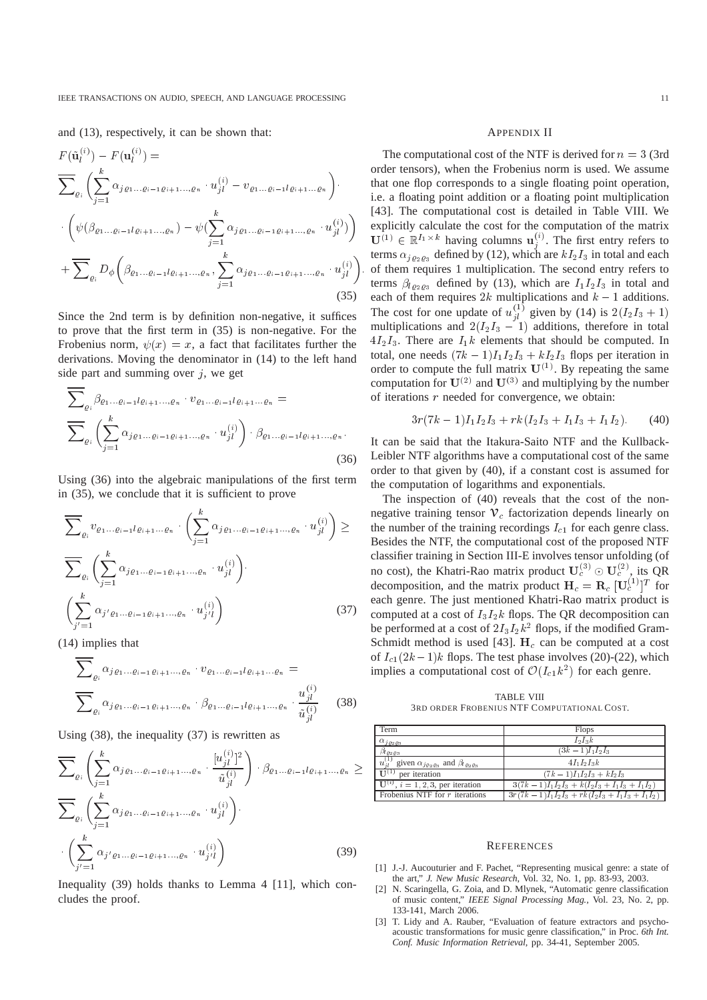and (13), respectively, it can be shown that:

$$
F(\tilde{\mathbf{u}}_l^{(i)}) - F(\mathbf{u}_l^{(i)}) =
$$
\n
$$
\sum_{\varrho_i} \left( \sum_{j=1}^k \alpha_{j\varrho_1 \dots \varrho_{i-1} \varrho_{i+1} \dots, \varrho_n} \cdot u_{jl}^{(i)} - v_{\varrho_1 \dots \varrho_{i-1} l \varrho_{i+1} \dots \varrho_n} \right) \cdot \left( \psi(\beta_{\varrho_1 \dots \varrho_{i-1} l \varrho_{i+1} \dots, \varrho_n}) - \psi(\sum_{j=1}^k \alpha_{j\varrho_1 \dots \varrho_{i-1} \varrho_{i+1} \dots, \varrho_n} \cdot u_{jl}^{(i)}) \right) + \sum_{\varrho_i} D_{\phi} \left( \beta_{\varrho_1 \dots \varrho_{i-1} l \varrho_{i+1} \dots, \varrho_n}, \sum_{j=1}^k \alpha_{j\varrho_1 \dots \varrho_{i-1} \varrho_{i+1} \dots, \varrho_n} \cdot u_{jl}^{(i)} \right)
$$
\n(35)

Since the 2nd term is by definition non-negative, it suffices to prove that the first term in (35) is non-negative. For the Frobenius norm,  $\psi(x) = x$ , a fact that facilitates further the derivations. Moving the denominator in (14) to the left hand side part and summing over  $i$ , we get

$$
\sum_{\varrho_{i}} \beta_{\varrho_{1} \dots \varrho_{i-1} l \varrho_{i+1} \dots, \varrho_{n}} \cdot v_{\varrho_{1} \dots \varrho_{i-1} l \varrho_{i+1} \dots \varrho_{n}} = \sum_{\varrho_{i}} \left( \sum_{j=1}^{k} \alpha_{j \varrho_{1} \dots \varrho_{i-1} \varrho_{i+1} \dots, \varrho_{n}} \cdot u_{jl}^{(i)} \right) \cdot \beta_{\varrho_{1} \dots \varrho_{i-1} l \varrho_{i+1} \dots, \varrho_{n}}.
$$
\n(36)

Using (36) into the algebraic manipulations of the first term in (35), we conclude that it is sufficient to prove

$$
\overline{\sum}_{\varrho_{i}} v_{\varrho_{1} \dots \varrho_{i-1} l \varrho_{i+1} \dots \varrho_{n}} \cdot \left( \sum_{j=1}^{k} \alpha_{j \varrho_{1} \dots \varrho_{i-1} \varrho_{i+1} \dots, \varrho_{n}} \cdot u_{jl}^{(i)} \right) \ge
$$
\n
$$
\overline{\sum}_{\varrho_{i}} \left( \sum_{j=1}^{k} \alpha_{j \varrho_{1} \dots \varrho_{i-1} \varrho_{i+1} \dots, \varrho_{n}} \cdot u_{jl}^{(i)} \right) \cdot \left( \sum_{j'=1}^{k} \alpha_{j' \varrho_{1} \dots \varrho_{i-1} \varrho_{i+1} \dots, \varrho_{n}} \cdot u_{j'l}^{(i)} \right) \tag{37}
$$

(14) implies that

$$
\sum_{\varrho_{i}} \alpha_{j\varrho_{1} \dots \varrho_{i-1} \varrho_{i+1} \dots, \varrho_{n}} \cdot v_{\varrho_{1} \dots \varrho_{i-1} l \varrho_{i+1} \dots \varrho_{n}} = \frac{u_{jl}^{(i)}}{\sum_{\varrho_{i}} \alpha_{j\varrho_{1} \dots \varrho_{i-1} \varrho_{i+1} \dots, \varrho_{n}} \cdot \frac{u_{jl}^{(i)}}{\tilde{u}_{jl}^{(i)}}}
$$
(38)

Using (38), the inequality (37) is rewritten as

$$
\overline{\sum}_{\varrho_{i}}\left(\sum_{j=1}^{k}\alpha_{j\varrho_{1}...\varrho_{i-1}\varrho_{i+1}...\varrho_{n}}\cdot\frac{[u_{jl}^{(i)}]^{2}}{\tilde{u}_{jl}^{(i)}}\right)\cdot\beta_{\varrho_{1}...\varrho_{i-1}l\varrho_{i+1}...\varrho_{n}} \ge
$$
\n
$$
\overline{\sum}_{\varrho_{i}}\left(\sum_{j=1}^{k}\alpha_{j\varrho_{1}...\varrho_{i-1}\varrho_{i+1}...\varrho_{n}}\cdot u_{jl}^{(i)}\right)\cdot
$$
\n
$$
\cdot\left(\sum_{j'=1}^{k}\alpha_{j'\varrho_{1}...\varrho_{i-1}\varrho_{i+1}...\varrho_{n}}\cdot u_{j'l}^{(i)}\right)
$$
\n(39)

Inequality (39) holds thanks to Lemma 4 [11], which concludes the proof.

#### APPENDIX II

The computational cost of the NTF is derived for  $n = 3$  (3rd) order tensors), when the Frobenius norm is used. We assume that one flop corresponds to a single floating point operation, i.e. a floating point addition or a floating point multiplication [43]. The computational cost is detailed in Table VIII. We explicitly calculate the cost for the computation of the matrix  $\mathbf{U}^{(1)} \in \mathbb{R}^{I_1 \times k}$  having columns  $\mathbf{u}_i^{(i)}$ . The first entry refers to terms  $\alpha_{j_{02},03}$  defined by (12), which are  $kI_2I_3$  in total and each of them requires 1 multiplication. The second entry refers to terms  $\beta_{l_{Q_2Q_3}}$  defined by (13), which are  $I_1I_2I_3$  in total and each of them requires 2k multiplications and  $k - 1$  additions. The cost for one update of  $u_{il}^{(1)}$  given by (14) is  $2(I_2I_3 + 1)$ multiplications and  $2(I_2I_3 - 1)$  additions, therefore in total  $4I_2I_3$ . There are  $I_1k$  elements that should be computed. In total, one needs  $(7k - 1)I_1I_2I_3 + kI_2I_3$  flops per iteration in order to compute the full matrix  $\mathbf{U}^{(1)}$ . By repeating the same computation for  $U^{(2)}$  and  $U^{(3)}$  and multiplying by the number of iterations  $r$  needed for convergence, we obtain:

$$
3r(7k-1)I_1I_2I_3 + rk(I_2I_3 + I_1I_3 + I_1I_2). \tag{40}
$$

It can be said that the Itakura-Saito NTF and the Kullback-Leibler NTF algorithms have a computational cost of the same order to that given by (40), if a constant cost is assumed for the computation of logarithms and exponentials.

The inspection of (40) reveals that the cost of the nonnegative training tensor  $\mathcal{V}_c$  factorization depends linearly on the number of the training recordings  $I_{c1}$  for each genre class. Besides the NTF, the computational cost of the proposed NTF classifier training in Section III-E involves tensor unfolding (of no cost), the Khatri-Rao matrix product  $U_c^{(3)} \odot U_c^{(2)}$ , its QR decomposition, and the matrix product  $H_c = R_c [U_c^{(1)}]^T$  for each genre. The just mentioned Khatri-Rao matrix product is computed at a cost of  $I_3I_2k$  flops. The QR decomposition can be performed at a cost of  $2I_3I_2k^2$  flops, if the modified Gram-Schmidt method is used [43].  $H_c$  can be computed at a cost of  $I_{c1}(2k-1)$ k flops. The test phase involves (20)-(22), which implies a computational cost of  $\mathcal{O}(I_{c1}k^2)$  for each genre.

TABLE VIII 3RD ORDER FROBENIUS NTF COMPUTATIONAL COST.

| Term                                                                                          | <b>Flops</b>                                       |
|-----------------------------------------------------------------------------------------------|----------------------------------------------------|
| $\alpha_{j\varrho_{2}\varrho_{3}}$                                                            | $I_2I_3k$                                          |
| $\beta_{l}{}_{\theta\,2\,\theta\,3}$                                                          | $(3k-1)I_1I_2I_3$                                  |
| $u_{il}^{(1)}$ given $\alpha_{i\varrho_{2}\varrho_{3}}$ and $\beta_{l\varrho_{2}\varrho_{3}}$ | $4I_1I_2I_3k$                                      |
| TI <sup>(1)</sup><br>per iteration                                                            | $(7k-1)I_1I_2I_3+kI_2I_3$                          |
| $\mathbf{U}^{(i)}$ , $i=1,2,3$ , per iteration                                                | $3(7k-1)I_1I_2I_3 + k(I_2I_3 + I_1I_3 + I_1I_2)$   |
| Frobenius NTF for $r$ iterations                                                              | $3r(7k-1)I_1I_2I_3 + rk(I_2I_3 + I_1I_3 + I_1I_2)$ |

#### **REFERENCES**

- [1] J.-J. Aucouturier and F. Pachet, "Representing musical genre: a state of the art," *J. New Music Research*, Vol. 32, No. 1, pp. 83-93, 2003.
- [2] N. Scaringella, G. Zoia, and D. Mlynek, "Automatic genre classification of music content," *IEEE Signal Processing Mag.*, Vol. 23, No. 2, pp. 133-141, March 2006.
- [3] T. Lidy and A. Rauber, "Evaluation of feature extractors and psychoacoustic transformations for music genre classification," in Proc. *6th Int. Conf. Music Information Retrieval*, pp. 34-41, September 2005.